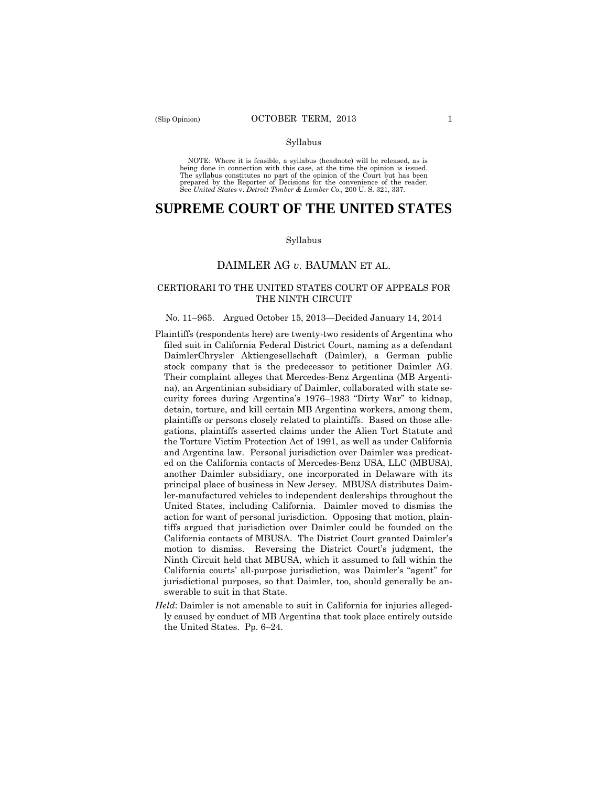#### Syllabus

 NOTE: Where it is feasible, a syllabus (headnote) will be released, as is being done in connection with this case, at the time the opinion is issued. The syllabus constitutes no part of the opinion of the Court but has been<br>prepared by the Reporter of Decisions for the convenience of the reader.<br>See United States v. Detroit Timber & Lumber Co., 200 U. S. 321, 337.

# **SUPREME COURT OF THE UNITED STATES**

#### Syllabus

## DAIMLER AG *v*. BAUMAN ET AL.

### CERTIORARI TO THE UNITED STATES COURT OF APPEALS FOR THE NINTH CIRCUIT

#### No. 11–965. Argued October 15, 2013—Decided January 14, 2014

- Plaintiffs (respondents here) are twenty-two residents of Argentina who filed suit in California Federal District Court, naming as a defendant DaimlerChrysler Aktiengesellschaft (Daimler), a German public stock company that is the predecessor to petitioner Daimler AG. Their complaint alleges that Mercedes-Benz Argentina (MB Argentina), an Argentinian subsidiary of Daimler, collaborated with state security forces during Argentina's 1976–1983 "Dirty War" to kidnap, detain, torture, and kill certain MB Argentina workers, among them, plaintiffs or persons closely related to plaintiffs. Based on those allegations, plaintiffs asserted claims under the Alien Tort Statute and the Torture Victim Protection Act of 1991, as well as under California and Argentina law. Personal jurisdiction over Daimler was predicated on the California contacts of Mercedes-Benz USA, LLC (MBUSA), another Daimler subsidiary, one incorporated in Delaware with its principal place of business in New Jersey. MBUSA distributes Daimler-manufactured vehicles to independent dealerships throughout the United States, including California. Daimler moved to dismiss the action for want of personal jurisdiction. Opposing that motion, plaintiffs argued that jurisdiction over Daimler could be founded on the California contacts of MBUSA. The District Court granted Daimler's motion to dismiss. Reversing the District Court's judgment, the Ninth Circuit held that MBUSA, which it assumed to fall within the California courts' all-purpose jurisdiction, was Daimler's "agent" for jurisdictional purposes, so that Daimler, too, should generally be answerable to suit in that State.
- *Held*: Daimler is not amenable to suit in California for injuries allegedly caused by conduct of MB Argentina that took place entirely outside the United States. Pp. 6–24.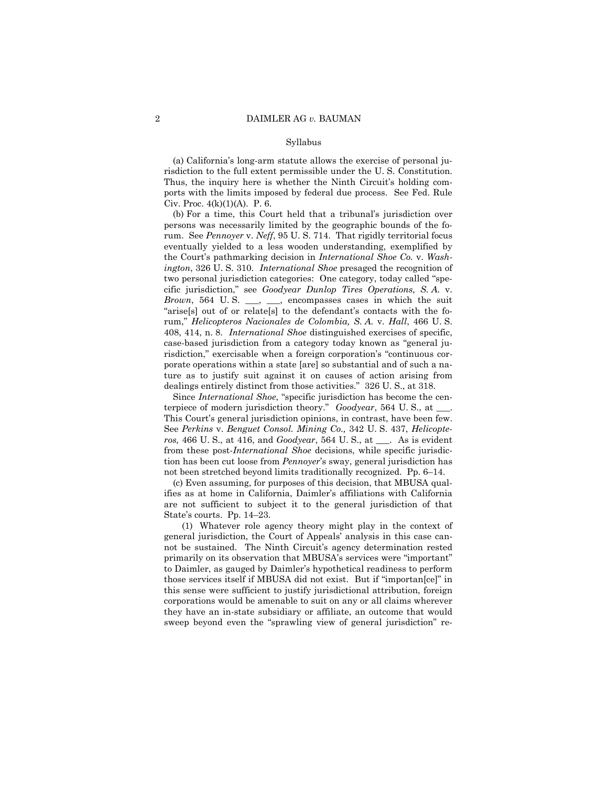#### Syllabus

(a) California's long-arm statute allows the exercise of personal jurisdiction to the full extent permissible under the U. S. Constitution. Thus, the inquiry here is whether the Ninth Circuit's holding comports with the limits imposed by federal due process. See Fed. Rule Civ. Proc.  $4(k)(1)(A)$ . P. 6.

(b) For a time, this Court held that a tribunal's jurisdiction over persons was necessarily limited by the geographic bounds of the forum. See *Pennoyer* v. *Neff*, 95 U. S. 714. That rigidly territorial focus eventually yielded to a less wooden understanding, exemplified by the Court's pathmarking decision in *International Shoe Co.* v. *Washington*, 326 U. S. 310. *International Shoe* presaged the recognition of two personal jurisdiction categories: One category, today called "specific jurisdiction," see *Goodyear Dunlop Tires Operations, S. A.* v. *Brown*, 564 U.S. \_\_, \_\_, encompasses cases in which the suit "arise[s] out of or relate[s] to the defendant's contacts with the forum," *Helicopteros Nacionales de Colombia, S. A.* v. *Hall*, 466 U. S. 408, 414, n. 8. *International Shoe* distinguished exercises of specific, case-based jurisdiction from a category today known as "general jurisdiction," exercisable when a foreign corporation's "continuous corporate operations within a state [are] so substantial and of such a nature as to justify suit against it on causes of action arising from dealings entirely distinct from those activities." 326 U. S., at 318.

 Since *International Shoe*, "specific jurisdiction has become the centerpiece of modern jurisdiction theory." *Goodyear*, 564 U. S., at \_\_\_. This Court's general jurisdiction opinions, in contrast, have been few. See *Perkins* v. *Benguet Consol. Mining Co.,* 342 U. S. 437, *Helicopteros,* 466 U. S., at 416, and *Goodyear*, 564 U. S., at \_\_\_. As is evident from these post-*International Shoe* decisions, while specific jurisdiction has been cut loose from *Pennoyer*'s sway, general jurisdiction has not been stretched beyond limits traditionally recognized. Pp. 6–14.

(c) Even assuming, for purposes of this decision, that MBUSA qualifies as at home in California, Daimler's affiliations with California are not sufficient to subject it to the general jurisdiction of that State's courts. Pp. 14–23.

(1) Whatever role agency theory might play in the context of general jurisdiction, the Court of Appeals' analysis in this case cannot be sustained. The Ninth Circuit's agency determination rested primarily on its observation that MBUSA's services were "important" to Daimler, as gauged by Daimler's hypothetical readiness to perform those services itself if MBUSA did not exist. But if "importan[ce]" in this sense were sufficient to justify jurisdictional attribution, foreign corporations would be amenable to suit on any or all claims wherever they have an in-state subsidiary or affiliate, an outcome that would sweep beyond even the "sprawling view of general jurisdiction" re-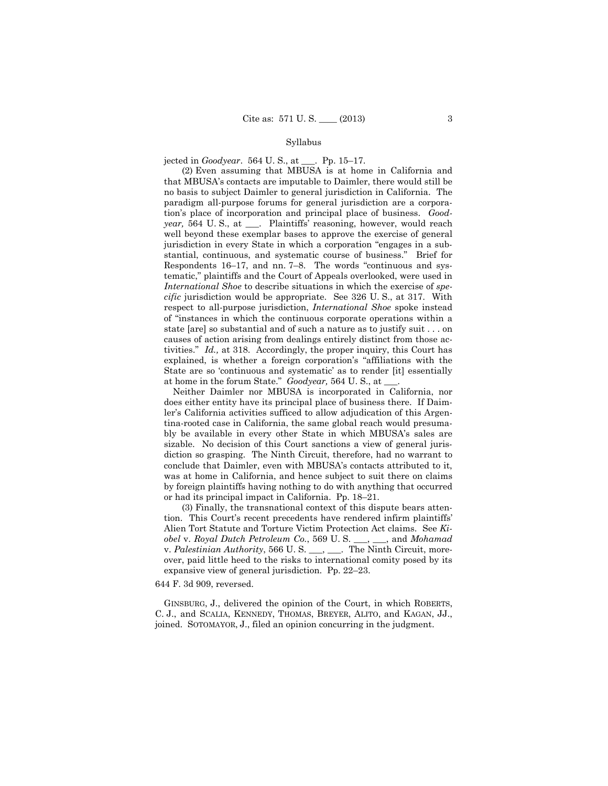#### Syllabus

jected in *Goodyear*. 564 U. S., at \_\_\_. Pp. 15–17.

 state [are] so substantial and of such a nature as to justify suit . . . on tivities." *Id.,* at 318. Accordingly, the proper inquiry, this Court has (2) Even assuming that MBUSA is at home in California and that MBUSA's contacts are imputable to Daimler, there would still be no basis to subject Daimler to general jurisdiction in California. The paradigm all-purpose forums for general jurisdiction are a corporation's place of incorporation and principal place of business. *Goodyear,* 564 U. S., at \_\_\_. Plaintiffs' reasoning, however, would reach well beyond these exemplar bases to approve the exercise of general jurisdiction in every State in which a corporation "engages in a substantial, continuous, and systematic course of business." Brief for Respondents 16–17, and nn. 7–8. The words "continuous and systematic," plaintiffs and the Court of Appeals overlooked, were used in *International Shoe* to describe situations in which the exercise of *specific* jurisdiction would be appropriate. See 326 U. S., at 317. With respect to all-purpose jurisdiction, *International Shoe* spoke instead of "instances in which the continuous corporate operations within a causes of action arising from dealings entirely distinct from those acexplained, is whether a foreign corporation's "affiliations with the State are so 'continuous and systematic' as to render [it] essentially at home in the forum State." *Goodyear,* 564 U. S., at \_\_\_.

Neither Daimler nor MBUSA is incorporated in California, nor does either entity have its principal place of business there. If Daimler's California activities sufficed to allow adjudication of this Argentina-rooted case in California, the same global reach would presumably be available in every other State in which MBUSA's sales are sizable. No decision of this Court sanctions a view of general jurisdiction so grasping. The Ninth Circuit, therefore, had no warrant to conclude that Daimler, even with MBUSA's contacts attributed to it, was at home in California, and hence subject to suit there on claims by foreign plaintiffs having nothing to do with anything that occurred or had its principal impact in California. Pp. 18–21.

(3) Finally, the transnational context of this dispute bears attention. This Court's recent precedents have rendered infirm plaintiffs' Alien Tort Statute and Torture Victim Protection Act claims. See *Kiobel* v. *Royal Dutch Petroleum Co.*, 569 U. S. \_\_\_, \_\_\_, and *Mohamad*  v. *Palestinian Authority*, 566 U. S. \_\_\_, \_\_\_. The Ninth Circuit, moreover, paid little heed to the risks to international comity posed by its expansive view of general jurisdiction. Pp. 22–23.

#### 644 F. 3d 909, reversed.

 C. J., and SCALIA, KENNEDY, THOMAS, BREYER, ALITO, and KAGAN, JJ., GINSBURG, J., delivered the opinion of the Court, in which ROBERTS, joined. SOTOMAYOR, J., filed an opinion concurring in the judgment.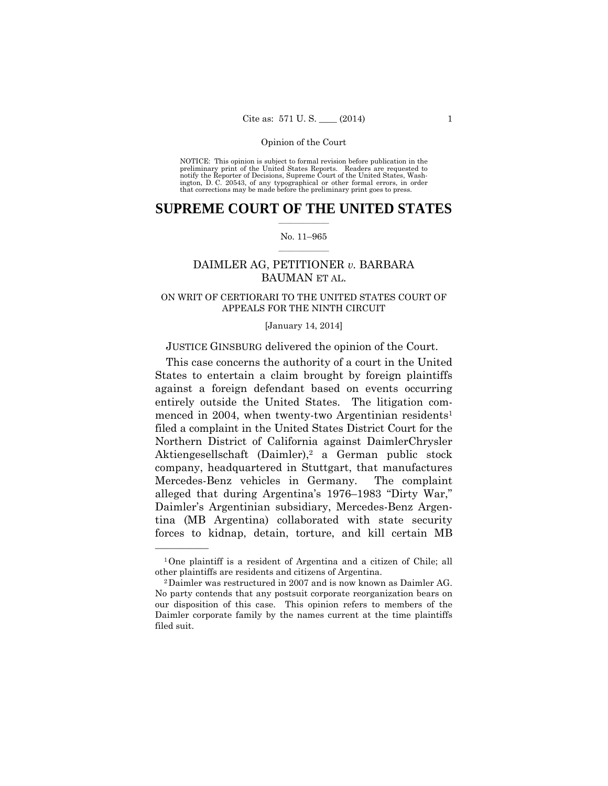preliminary print of the United States Reports. Readers are requested to notify the Reporter of Decisions, Supreme Court of the United States, Wash- ington, D. C. 20543, of any typographical or other formal errors, in order that corrections may be made before the preliminary print goes to press. NOTICE: This opinion is subject to formal revision before publication in the

## $\frac{1}{2}$  ,  $\frac{1}{2}$  ,  $\frac{1}{2}$  ,  $\frac{1}{2}$  ,  $\frac{1}{2}$  ,  $\frac{1}{2}$  ,  $\frac{1}{2}$ **SUPREME COURT OF THE UNITED STATES**

#### $\frac{1}{2}$  ,  $\frac{1}{2}$  ,  $\frac{1}{2}$  ,  $\frac{1}{2}$  ,  $\frac{1}{2}$  ,  $\frac{1}{2}$ No. 11–965

## DAIMLER AG, PETITIONER *v.* BARBARA BAUMAN ET AL.

## ON WRIT OF CERTIORARI TO THE UNITED STATES COURT OF APPEALS FOR THE NINTH CIRCUIT

#### [January 14, 2014]

## JUSTICE GINSBURG delivered the opinion of the Court.

 filed a complaint in the United States District Court for the This case concerns the authority of a court in the United States to entertain a claim brought by foreign plaintiffs against a foreign defendant based on events occurring entirely outside the United States. The litigation commenced in 2004, when twenty-two Argentinian residents<sup>1</sup> Northern District of California against DaimlerChrysler Aktiengesellschaft (Daimler),2 a German public stock company, headquartered in Stuttgart, that manufactures Mercedes-Benz vehicles in Germany. The complaint alleged that during Argentina's 1976–1983 "Dirty War," Daimler's Argentinian subsidiary, Mercedes-Benz Argentina (MB Argentina) collaborated with state security forces to kidnap, detain, torture, and kill certain MB

<sup>1</sup>One plaintiff is a resident of Argentina and a citizen of Chile; all other plaintiffs are residents and citizens of Argentina. 2Daimler was restructured in 2007 and is now known as Daimler AG.

No party contends that any postsuit corporate reorganization bears on our disposition of this case. This opinion refers to members of the Daimler corporate family by the names current at the time plaintiffs filed suit.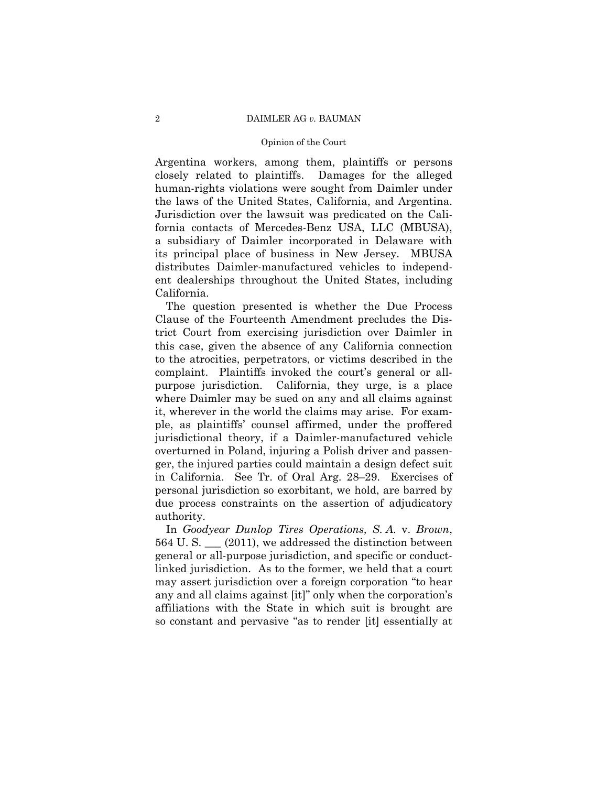Argentina workers, among them, plaintiffs or persons closely related to plaintiffs. Damages for the alleged human-rights violations were sought from Daimler under the laws of the United States, California, and Argentina. Jurisdiction over the lawsuit was predicated on the California contacts of Mercedes-Benz USA, LLC (MBUSA), a subsidiary of Daimler incorporated in Delaware with its principal place of business in New Jersey. MBUSA distributes Daimler-manufactured vehicles to independent dealerships throughout the United States, including California.

The question presented is whether the Due Process Clause of the Fourteenth Amendment precludes the District Court from exercising jurisdiction over Daimler in this case, given the absence of any California connection to the atrocities, perpetrators, or victims described in the complaint. Plaintiffs invoked the court's general or allpurpose jurisdiction. California, they urge, is a place where Daimler may be sued on any and all claims against it, wherever in the world the claims may arise. For example, as plaintiffs' counsel affirmed, under the proffered jurisdictional theory, if a Daimler-manufactured vehicle overturned in Poland, injuring a Polish driver and passenger, the injured parties could maintain a design defect suit in California. See Tr. of Oral Arg. 28–29. Exercises of personal jurisdiction so exorbitant, we hold, are barred by due process constraints on the assertion of adjudicatory authority.

In *Goodyear Dunlop Tires Operations, S. A.* v. *Brown*, 564 U.S.  $\qquad$  (2011), we addressed the distinction between general or all-purpose jurisdiction, and specific or conductlinked jurisdiction. As to the former, we held that a court may assert jurisdiction over a foreign corporation "to hear any and all claims against [it]" only when the corporation's affiliations with the State in which suit is brought are so constant and pervasive "as to render [it] essentially at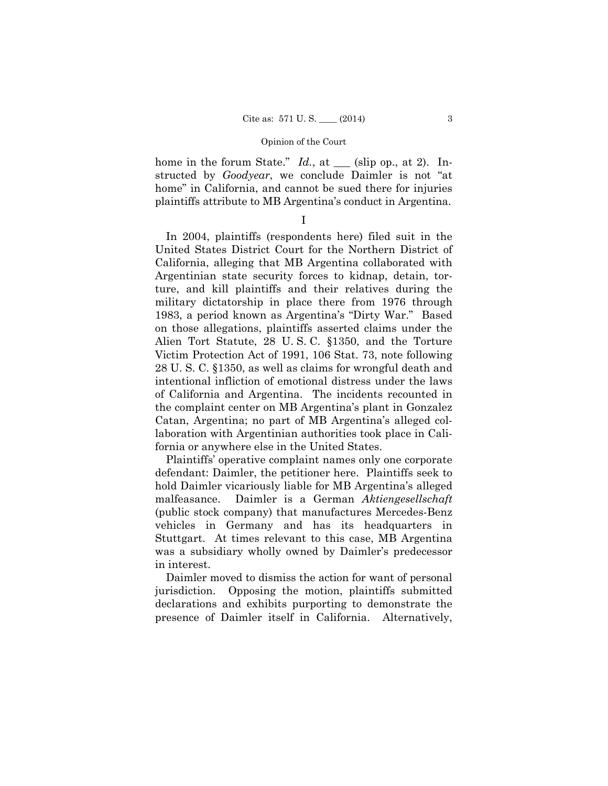home in the forum State." *Id.*, at \_\_\_ (slip op., at 2). Instructed by *Goodyear*, we conclude Daimler is not "at home" in California, and cannot be sued there for injuries plaintiffs attribute to MB Argentina's conduct in Argentina.

I

In 2004, plaintiffs (respondents here) filed suit in the United States District Court for the Northern District of California, alleging that MB Argentina collaborated with Argentinian state security forces to kidnap, detain, torture, and kill plaintiffs and their relatives during the military dictatorship in place there from 1976 through 1983, a period known as Argentina's "Dirty War." Based on those allegations, plaintiffs asserted claims under the Alien Tort Statute, 28 U. S. C. §1350, and the Torture Victim Protection Act of 1991, 106 Stat. 73, note following 28 U. S. C. §1350, as well as claims for wrongful death and intentional infliction of emotional distress under the laws of California and Argentina. The incidents recounted in the complaint center on MB Argentina's plant in Gonzalez Catan, Argentina; no part of MB Argentina's alleged collaboration with Argentinian authorities took place in California or anywhere else in the United States.

Plaintiffs' operative complaint names only one corporate defendant: Daimler, the petitioner here. Plaintiffs seek to hold Daimler vicariously liable for MB Argentina's alleged malfeasance. Daimler is a German *Aktiengesellschaft* (public stock company) that manufactures Mercedes-Benz vehicles in Germany and has its headquarters in Stuttgart. At times relevant to this case, MB Argentina was a subsidiary wholly owned by Daimler's predecessor in interest.

Daimler moved to dismiss the action for want of personal jurisdiction. Opposing the motion, plaintiffs submitted declarations and exhibits purporting to demonstrate the presence of Daimler itself in California. Alternatively,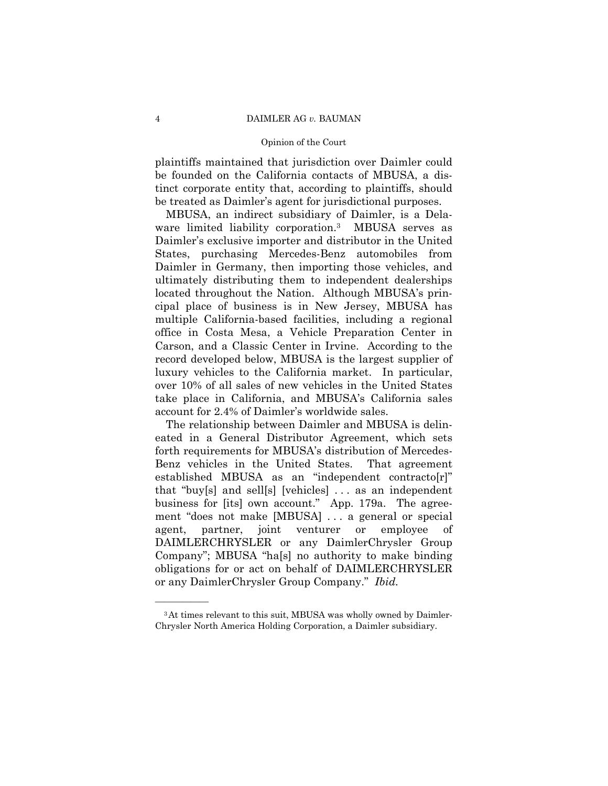plaintiffs maintained that jurisdiction over Daimler could be founded on the California contacts of MBUSA, a distinct corporate entity that, according to plaintiffs, should be treated as Daimler's agent for jurisdictional purposes.

MBUSA, an indirect subsidiary of Daimler, is a Delaware limited liability corporation.3 MBUSA serves as Daimler's exclusive importer and distributor in the United States, purchasing Mercedes-Benz automobiles from Daimler in Germany, then importing those vehicles, and ultimately distributing them to independent dealerships located throughout the Nation. Although MBUSA's principal place of business is in New Jersey, MBUSA has multiple California-based facilities, including a regional office in Costa Mesa, a Vehicle Preparation Center in Carson, and a Classic Center in Irvine. According to the record developed below, MBUSA is the largest supplier of luxury vehicles to the California market. In particular, over 10% of all sales of new vehicles in the United States take place in California, and MBUSA's California sales account for 2.4% of Daimler's worldwide sales.

The relationship between Daimler and MBUSA is delineated in a General Distributor Agreement, which sets forth requirements for MBUSA's distribution of Mercedes-Benz vehicles in the United States. That agreement established MBUSA as an "independent contracto[r]" that "buy[s] and sell[s] [vehicles] . . . as an independent business for [its] own account." App. 179a. The agreement "does not make [MBUSA] . . . a general or special agent, partner, joint venturer or employee of DAIMLERCHRYSLER or any DaimlerChrysler Group Company"; MBUSA "ha[s] no authority to make binding obligations for or act on behalf of DAIMLERCHRYSLER or any DaimlerChrysler Group Company." *Ibid.* 

 3At times relevant to this suit, MBUSA was wholly owned by Daimler-Chrysler North America Holding Corporation, a Daimler subsidiary.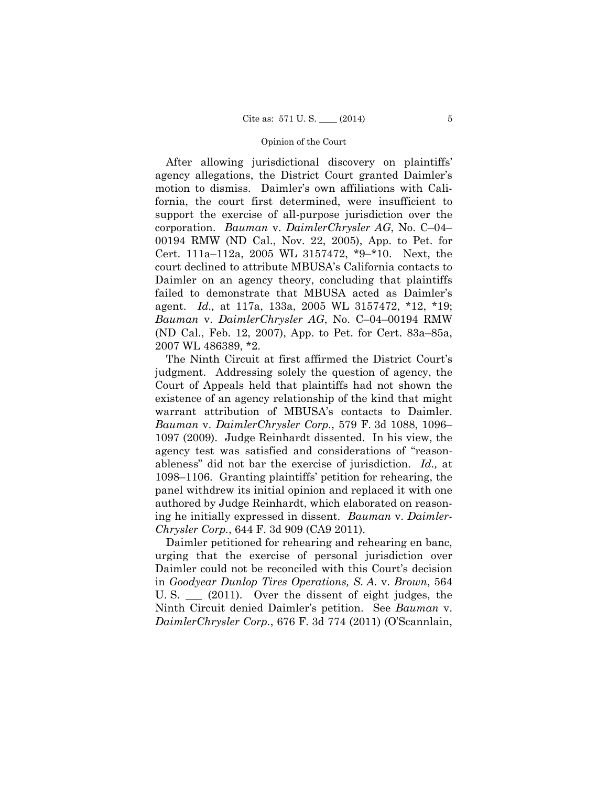After allowing jurisdictional discovery on plaintiffs' agency allegations, the District Court granted Daimler's motion to dismiss. Daimler's own affiliations with California, the court first determined, were insufficient to support the exercise of all-purpose jurisdiction over the corporation. *Bauman* v. *DaimlerChrysler AG*, No. C–04– 00194 RMW (ND Cal., Nov. 22, 2005), App. to Pet. for Cert. 111a–112a, 2005 WL 3157472, \*9–\*10. Next, the court declined to attribute MBUSA's California contacts to Daimler on an agency theory, concluding that plaintiffs failed to demonstrate that MBUSA acted as Daimler's agent. *Id.,* at 117a, 133a, 2005 WL 3157472, \*12, \*19; *Bauman* v. *DaimlerChrysler AG*, No. C–04–00194 RMW (ND Cal., Feb. 12, 2007), App. to Pet. for Cert. 83a–85a, 2007 WL 486389, \*2.

The Ninth Circuit at first affirmed the District Court's judgment. Addressing solely the question of agency, the Court of Appeals held that plaintiffs had not shown the existence of an agency relationship of the kind that might warrant attribution of MBUSA's contacts to Daimler. *Bauman* v. *DaimlerChrysler Corp.*, 579 F. 3d 1088, 1096– 1097 (2009). Judge Reinhardt dissented. In his view, the agency test was satisfied and considerations of "reasonableness" did not bar the exercise of jurisdiction. *Id.,* at 1098–1106. Granting plaintiffs' petition for rehearing, the panel withdrew its initial opinion and replaced it with one authored by Judge Reinhardt, which elaborated on reasoning he initially expressed in dissent. *Bauman* v. *Daimler-Chrysler Corp.*, 644 F. 3d 909 (CA9 2011).

Daimler petitioned for rehearing and rehearing en banc, urging that the exercise of personal jurisdiction over Daimler could not be reconciled with this Court's decision in *Goodyear Dunlop Tires Operations, S. A.* v. *Brown*, 564 U. S. \_\_\_ (2011). Over the dissent of eight judges, the Ninth Circuit denied Daimler's petition. See *Bauman* v. *DaimlerChrysler Corp.*, 676 F. 3d 774 (2011) (O'Scannlain,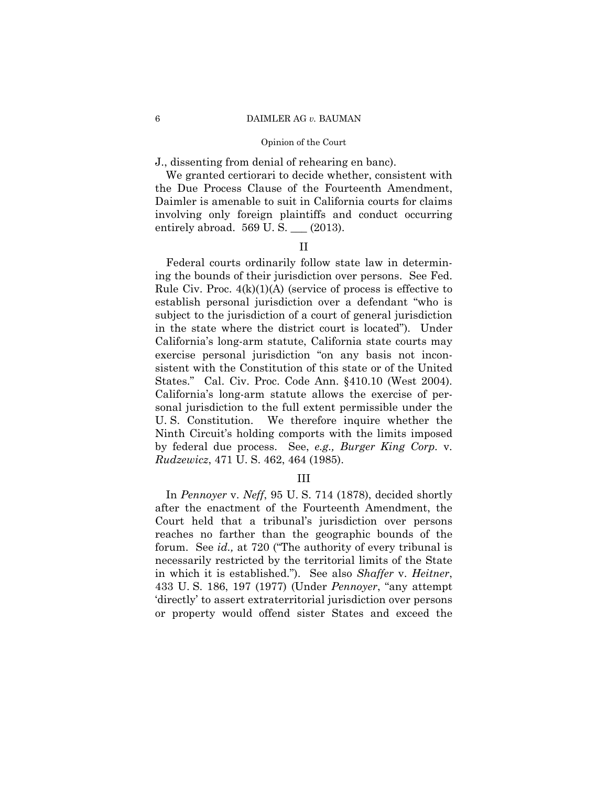#### 6 DAIMLER AG *v.* BAUMAN

#### Opinion of the Court

J., dissenting from denial of rehearing en banc).

We granted certiorari to decide whether, consistent with the Due Process Clause of the Fourteenth Amendment, Daimler is amenable to suit in California courts for claims involving only foreign plaintiffs and conduct occurring entirely abroad. 569 U.S. \_\_ (2013).

## II

Federal courts ordinarily follow state law in determining the bounds of their jurisdiction over persons. See Fed. Rule Civ. Proc.  $4(k)(1)(A)$  (service of process is effective to establish personal jurisdiction over a defendant "who is subject to the jurisdiction of a court of general jurisdiction in the state where the district court is located"). Under California's long-arm statute, California state courts may exercise personal jurisdiction "on any basis not inconsistent with the Constitution of this state or of the United States." Cal. Civ. Proc. Code Ann. §410.10 (West 2004). California's long-arm statute allows the exercise of personal jurisdiction to the full extent permissible under the U. S. Constitution. We therefore inquire whether the Ninth Circuit's holding comports with the limits imposed by federal due process. See, *e.g., Burger King Corp.* v. *Rudzewicz*, 471 U. S. 462, 464 (1985).

## III

 In *Pennoyer* v. *Neff*, 95 U. S. 714 (1878), decided shortly after the enactment of the Fourteenth Amendment, the Court held that a tribunal's jurisdiction over persons reaches no farther than the geographic bounds of the forum. See *id.,* at 720 ("The authority of every tribunal is necessarily restricted by the territorial limits of the State in which it is established."). See also *Shaffer* v. *Heitner*, 433 U. S. 186, 197 (1977) (Under *Pennoyer*, "any attempt 'directly' to assert extraterritorial jurisdiction over persons or property would offend sister States and exceed the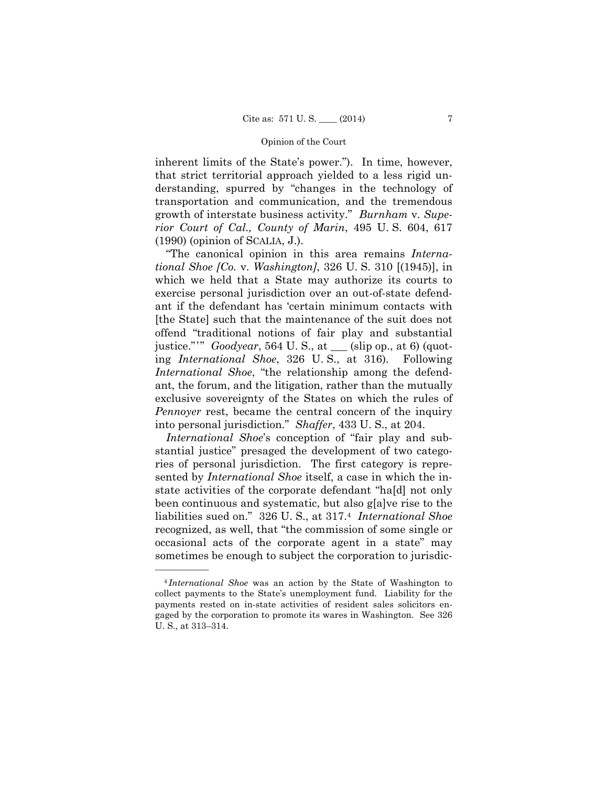growth of interstate business activity." *Burnham* v. *Supe*inherent limits of the State's power."). In time, however, that strict territorial approach yielded to a less rigid understanding, spurred by "changes in the technology of transportation and communication, and the tremendous *rior Court of Cal., County of Marin*, 495 U. S. 604, 617 (1990) (opinion of SCALIA, J.).

 justice."'" *Goodyear*, 564 U. S., at \_\_\_ (slip op., at 6) (quot- ant, the forum, and the litigation, rather than the mutually "The canonical opinion in this area remains *International Shoe [Co.* v. *Washington]*, 326 U. S. 310 [(1945)], in which we held that a State may authorize its courts to exercise personal jurisdiction over an out-of-state defendant if the defendant has 'certain minimum contacts with [the State] such that the maintenance of the suit does not offend "traditional notions of fair play and substantial ing *International Shoe*, 326 U. S., at 316). Following *International Shoe*, "the relationship among the defendexclusive sovereignty of the States on which the rules of *Pennoyer* rest, became the central concern of the inquiry into personal jurisdiction." *Shaffer*, 433 U. S., at 204.

 liabilities sued on." 326 U. S., at 317.4 *International Shoe International Shoe*'s conception of "fair play and substantial justice" presaged the development of two categories of personal jurisdiction. The first category is represented by *International Shoe* itself, a case in which the instate activities of the corporate defendant "ha[d] not only been continuous and systematic, but also g[a]ve rise to the recognized, as well, that "the commission of some single or occasional acts of the corporate agent in a state" may sometimes be enough to subject the corporation to jurisdic-

<sup>4</sup>*International Shoe* was an action by the State of Washington to collect payments to the State's unemployment fund. Liability for the payments rested on in-state activities of resident sales solicitors engaged by the corporation to promote its wares in Washington. See 326 U. S., at 313–314.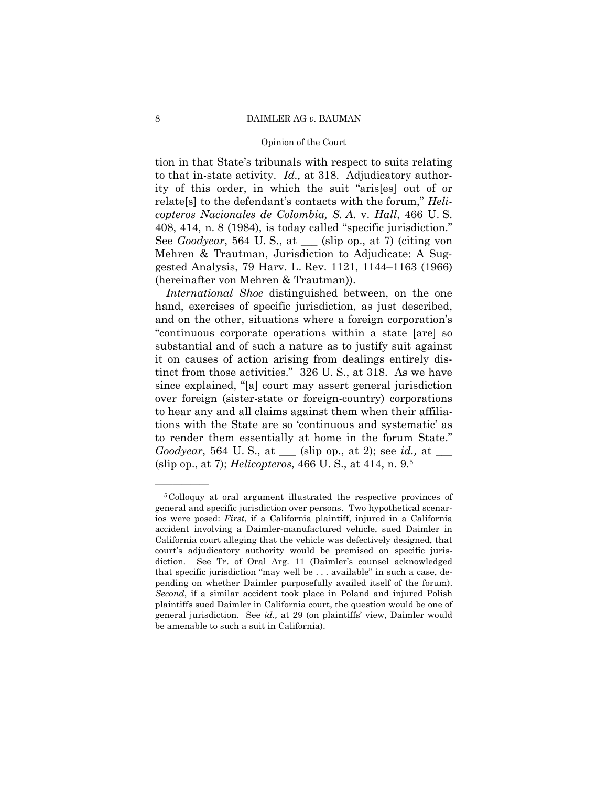#### 8 DAIMLER AG *v.* BAUMAN

#### Opinion of the Court

tion in that State's tribunals with respect to suits relating to that in-state activity. *Id.,* at 318. Adjudicatory authority of this order, in which the suit "aris[es] out of or relate[s] to the defendant's contacts with the forum," *Helicopteros Nacionales de Colombia, S. A.* v. *Hall*, 466 U. S. 408, 414, n. 8 (1984), is today called "specific jurisdiction." See *Goodyear*, 564 U. S., at \_\_\_ (slip op., at 7) (citing von Mehren & Trautman, Jurisdiction to Adjudicate: A Suggested Analysis, 79 Harv. L. Rev. 1121, 1144–1163 (1966) (hereinafter von Mehren & Trautman)).

*International Shoe* distinguished between, on the one hand, exercises of specific jurisdiction, as just described, and on the other, situations where a foreign corporation's "continuous corporate operations within a state [are] so substantial and of such a nature as to justify suit against it on causes of action arising from dealings entirely distinct from those activities." 326 U. S., at 318. As we have since explained, "[a] court may assert general jurisdiction over foreign (sister-state or foreign-country) corporations to hear any and all claims against them when their affiliations with the State are so 'continuous and systematic' as to render them essentially at home in the forum State." *Goodyear*, 564 U. S., at \_\_\_ (slip op., at 2); see *id.,* at \_\_\_ (slip op., at 7); *Helicopteros*, 466 U. S., at 414, n. 9.5

<sup>5</sup>Colloquy at oral argument illustrated the respective provinces of general and specific jurisdiction over persons. Two hypothetical scenarios were posed: *First*, if a California plaintiff, injured in a California accident involving a Daimler-manufactured vehicle, sued Daimler in California court alleging that the vehicle was defectively designed, that court's adjudicatory authority would be premised on specific jurisdiction. See Tr. of Oral Arg. 11 (Daimler's counsel acknowledged that specific jurisdiction "may well be . . . available" in such a case, depending on whether Daimler purposefully availed itself of the forum). *Second*, if a similar accident took place in Poland and injured Polish plaintiffs sued Daimler in California court, the question would be one of general jurisdiction. See *id.,* at 29 (on plaintiffs' view, Daimler would be amenable to such a suit in California).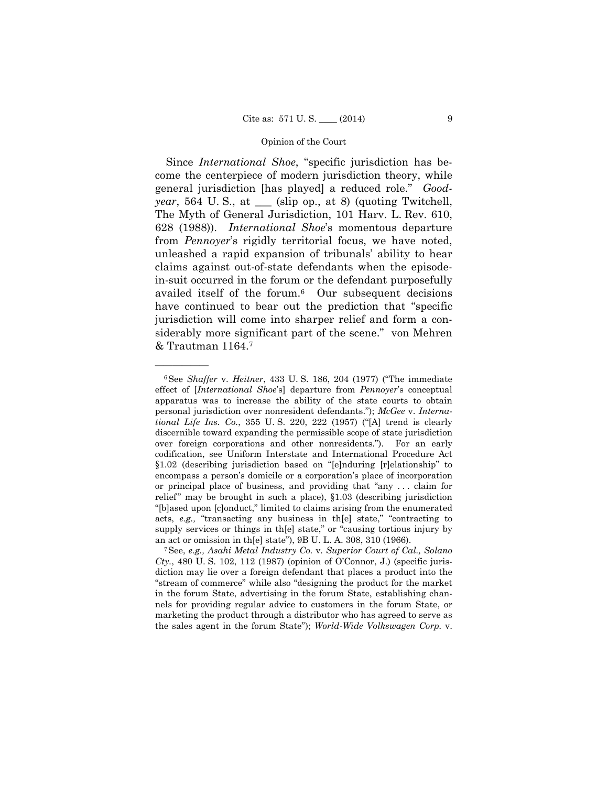Since *International Shoe*, "specific jurisdiction has become the centerpiece of modern jurisdiction theory, while general jurisdiction [has played] a reduced role." *Goodyear*, 564 U. S., at \_\_\_ (slip op., at 8) (quoting Twitchell, The Myth of General Jurisdiction, 101 Harv. L. Rev. 610, 628 (1988)). *International Shoe*'s momentous departure from *Pennoyer*'s rigidly territorial focus, we have noted, unleashed a rapid expansion of tribunals' ability to hear claims against out-of-state defendants when the episodein-suit occurred in the forum or the defendant purposefully availed itself of the forum.6 Our subsequent decisions have continued to bear out the prediction that "specific jurisdiction will come into sharper relief and form a considerably more significant part of the scene." von Mehren & Trautman 1164.7

<sup>6</sup>See *Shaffer* v. *Heitner*, 433 U. S. 186, 204 (1977) ("The immediate effect of [*International Shoe*'s] departure from *Pennoyer*'s conceptual apparatus was to increase the ability of the state courts to obtain personal jurisdiction over nonresident defendants."); *McGee* v. *International Life Ins. Co.*, 355 U. S. 220, 222 (1957) ("[A] trend is clearly discernible toward expanding the permissible scope of state jurisdiction over foreign corporations and other nonresidents."). For an early codification, see Uniform Interstate and International Procedure Act §1.02 (describing jurisdiction based on "[e]nduring [r]elationship" to encompass a person's domicile or a corporation's place of incorporation or principal place of business, and providing that "any . . . claim for relief" may be brought in such a place), §1.03 (describing jurisdiction "[b]ased upon [c]onduct," limited to claims arising from the enumerated acts, *e.g.,* "transacting any business in th[e] state," "contracting to supply services or things in th[e] state," or "causing tortious injury by an act or omission in th[e] state"), 9B U. L. A. 308, 310 (1966).

<sup>7</sup>See, *e.g., Asahi Metal Industry Co.* v. *Superior Court of Cal., Solano Cty.*, 480 U. S. 102, 112 (1987) (opinion of O'Connor, J.) (specific jurisdiction may lie over a foreign defendant that places a product into the "stream of commerce" while also "designing the product for the market in the forum State, advertising in the forum State, establishing channels for providing regular advice to customers in the forum State, or marketing the product through a distributor who has agreed to serve as the sales agent in the forum State"); *World-Wide Volkswagen Corp.* v.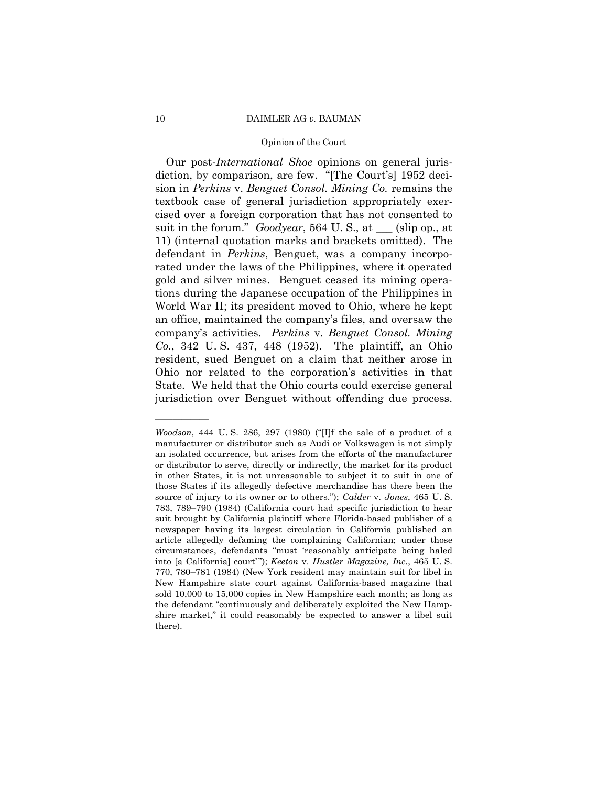#### 10 DAIMLER AG *v.* BAUMAN

#### Opinion of the Court

 *Co.*, 342 U. S. 437, 448 (1952). The plaintiff, an Ohio Our post-*International Shoe* opinions on general jurisdiction, by comparison, are few. "[The Court's] 1952 decision in *Perkins* v. *Benguet Consol. Mining Co.* remains the textbook case of general jurisdiction appropriately exercised over a foreign corporation that has not consented to suit in the forum." *Goodyear*, 564 U.S., at <u>equal</u> (slip op., at 11) (internal quotation marks and brackets omitted). The defendant in *Perkins*, Benguet, was a company incorporated under the laws of the Philippines, where it operated gold and silver mines. Benguet ceased its mining operations during the Japanese occupation of the Philippines in World War II; its president moved to Ohio, where he kept an office, maintained the company's files, and oversaw the company's activities. *Perkins* v. *Benguet Consol. Mining*  resident, sued Benguet on a claim that neither arose in Ohio nor related to the corporation's activities in that State. We held that the Ohio courts could exercise general jurisdiction over Benguet without offending due process.

 manufacturer or distributor such as Audi or Volkswagen is not simply suit brought by California plaintiff where Florida-based publisher of a *Woodson*, 444 U. S. 286, 297 (1980) ("[I]f the sale of a product of a an isolated occurrence, but arises from the efforts of the manufacturer or distributor to serve, directly or indirectly, the market for its product in other States, it is not unreasonable to subject it to suit in one of those States if its allegedly defective merchandise has there been the source of injury to its owner or to others."); *Calder* v. *Jones*, 465 U. S. 783, 789–790 (1984) (California court had specific jurisdiction to hear newspaper having its largest circulation in California published an article allegedly defaming the complaining Californian; under those circumstances, defendants "must 'reasonably anticipate being haled into [a California] court'"); *Keeton* v. *Hustler Magazine*, *Inc.*, 465 U. S. 770, 780–781 (1984) (New York resident may maintain suit for libel in New Hampshire state court against California-based magazine that sold 10,000 to 15,000 copies in New Hampshire each month; as long as the defendant "continuously and deliberately exploited the New Hampshire market," it could reasonably be expected to answer a libel suit there).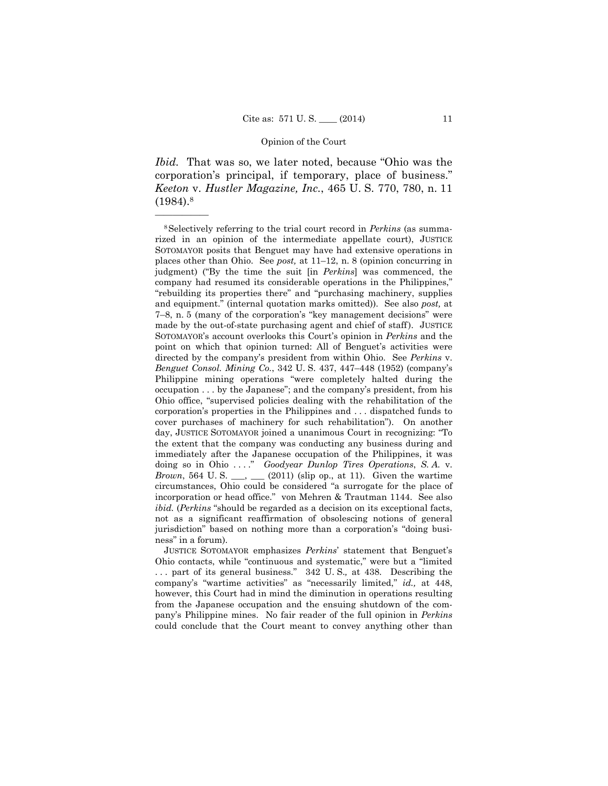*Ibid.* That was so, we later noted, because "Ohio was the corporation's principal, if temporary, place of business." *Keeton* v. *Hustler Magazine, Inc.*, 465 U. S. 770, 780, n. 11  $(1984).$ <sup>8</sup>

——————

8Selectively referring to the trial court record in *Perkins* (as summarized in an opinion of the intermediate appellate court), JUSTICE SOTOMAYOR posits that Benguet may have had extensive operations in places other than Ohio. See *post,* at 11–12, n. 8 (opinion concurring in judgment) ("By the time the suit [in *Perkins*] was commenced, the company had resumed its considerable operations in the Philippines," "rebuilding its properties there" and "purchasing machinery, supplies and equipment." (internal quotation marks omitted)). See also *post,* at 7–8, n. 5 (many of the corporation's "key management decisions" were made by the out-of-state purchasing agent and chief of staff). JUSTICE SOTOMAYOR's account overlooks this Court's opinion in *Perkins* and the point on which that opinion turned: All of Benguet's activities were directed by the company's president from within Ohio. See *Perkins* v. *Benguet Consol. Mining Co.*, 342 U. S. 437, 447–448 (1952) (company's Philippine mining operations "were completely halted during the occupation . . . by the Japanese"; and the company's president, from his Ohio office, "supervised policies dealing with the rehabilitation of the corporation's properties in the Philippines and . . . dispatched funds to cover purchases of machinery for such rehabilitation"). On another day, JUSTICE SOTOMAYOR joined a unanimous Court in recognizing: "To the extent that the company was conducting any business during and immediately after the Japanese occupation of the Philippines, it was doing so in Ohio . . . ." *Goodyear Dunlop Tires Operations*, *S. A.* v. *Brown*, 564 U.S. \_\_, \_\_ (2011) (slip op., at 11). Given the wartime circumstances, Ohio could be considered "a surrogate for the place of incorporation or head office." von Mehren & Trautman 1144. See also *ibid.* (*Perkins* "should be regarded as a decision on its exceptional facts, not as a significant reaffirmation of obsolescing notions of general jurisdiction" based on nothing more than a corporation's "doing business" in a forum).

JUSTICE SOTOMAYOR emphasizes *Perkins*' statement that Benguet's Ohio contacts, while "continuous and systematic," were but a "limited . . . part of its general business." 342 U. S.*,* at 438. Describing the company's "wartime activities" as "necessarily limited," *id.,* at 448, however, this Court had in mind the diminution in operations resulting from the Japanese occupation and the ensuing shutdown of the company's Philippine mines. No fair reader of the full opinion in *Perkins*  could conclude that the Court meant to convey anything other than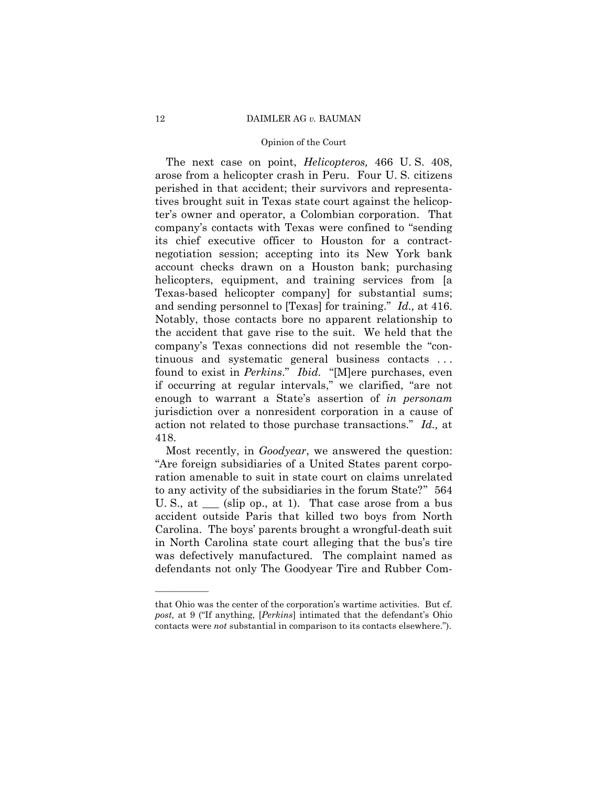#### 12 DAIMLER AG *v.* BAUMAN

#### Opinion of the Court

 found to exist in *Perkins*." *Ibid.* "[M]ere purchases, even The next case on point, *Helicopteros,* 466 U. S. 408, arose from a helicopter crash in Peru. Four U. S. citizens perished in that accident; their survivors and representatives brought suit in Texas state court against the helicopter's owner and operator, a Colombian corporation. That company's contacts with Texas were confined to "sending its chief executive officer to Houston for a contractnegotiation session; accepting into its New York bank account checks drawn on a Houston bank; purchasing helicopters, equipment, and training services from [a Texas-based helicopter company] for substantial sums; and sending personnel to [Texas] for training." *Id.,* at 416. Notably, those contacts bore no apparent relationship to the accident that gave rise to the suit. We held that the company's Texas connections did not resemble the "continuous and systematic general business contacts . . . if occurring at regular intervals," we clarified, "are not enough to warrant a State's assertion of *in personam* jurisdiction over a nonresident corporation in a cause of action not related to those purchase transactions." *Id.,* at 418.

 to any activity of the subsidiaries in the forum State?" 564 Most recently, in *Goodyear*, we answered the question: "Are foreign subsidiaries of a United States parent corporation amenable to suit in state court on claims unrelated U. S., at  $\equiv$  (slip op., at 1). That case arose from a bus accident outside Paris that killed two boys from North Carolina. The boys' parents brought a wrongful-death suit in North Carolina state court alleging that the bus's tire was defectively manufactured. The complaint named as defendants not only The Goodyear Tire and Rubber Com-

that Ohio was the center of the corporation's wartime activities. But cf. *post,* at 9 ("If anything, [*Perkins*] intimated that the defendant's Ohio contacts were *not* substantial in comparison to its contacts elsewhere.").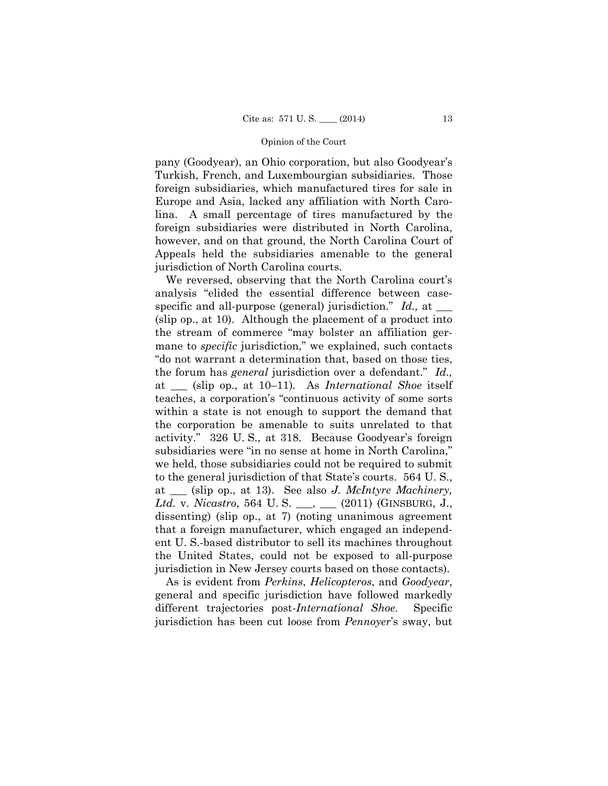pany (Goodyear), an Ohio corporation, but also Goodyear's Turkish, French, and Luxembourgian subsidiaries. Those foreign subsidiaries, which manufactured tires for sale in Europe and Asia, lacked any affiliation with North Carolina. A small percentage of tires manufactured by the foreign subsidiaries were distributed in North Carolina, however, and on that ground, the North Carolina Court of Appeals held the subsidiaries amenable to the general jurisdiction of North Carolina courts.

We reversed, observing that the North Carolina court's analysis "elided the essential difference between casespecific and all-purpose (general) jurisdiction." *Id.*, at (slip op., at 10). Although the placement of a product into the stream of commerce "may bolster an affiliation germane to *specific* jurisdiction," we explained, such contacts "do not warrant a determination that, based on those ties, the forum has *general* jurisdiction over a defendant." *Id.,*  at \_\_\_ (slip op., at 10–11)*.* As *International Shoe* itself teaches, a corporation's "continuous activity of some sorts within a state is not enough to support the demand that the corporation be amenable to suits unrelated to that activity." 326 U. S., at 318. Because Goodyear's foreign subsidiaries were "in no sense at home in North Carolina," we held, those subsidiaries could not be required to submit to the general jurisdiction of that State's courts. 564 U. S., at \_\_\_ (slip op., at 13). See also *J. McIntyre Machinery, Ltd.* v. *Nicastro*, 564 U. S. \_\_\_, \_\_\_ (2011) (GINSBURG, J., dissenting) (slip op., at 7) (noting unanimous agreement that a foreign manufacturer, which engaged an independent U. S.-based distributor to sell its machines throughout the United States, could not be exposed to all-purpose jurisdiction in New Jersey courts based on those contacts).

As is evident from *Perkins*, *Helicopteros*, and *Goodyear*, general and specific jurisdiction have followed markedly different trajectories post-*International Shoe*. Specific jurisdiction has been cut loose from *Pennoyer*'s sway, but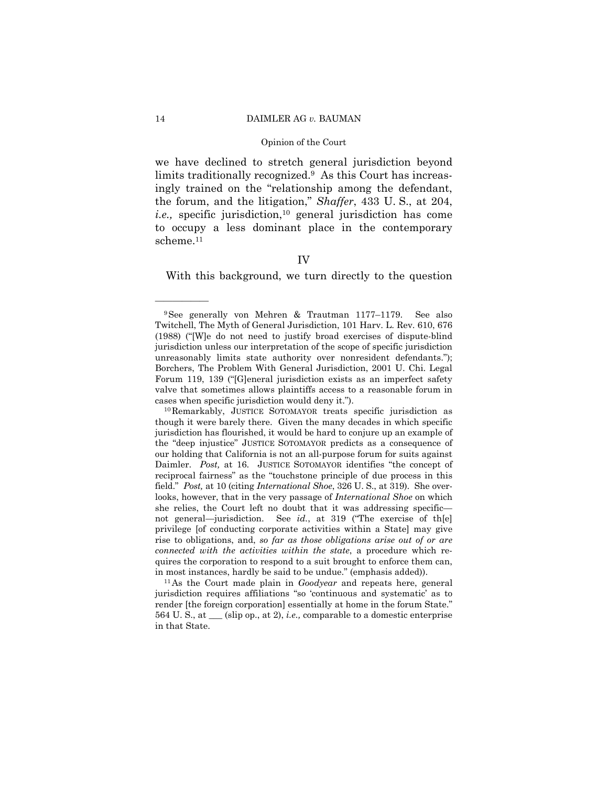we have declined to stretch general jurisdiction beyond limits traditionally recognized.<sup>9</sup> As this Court has increasingly trained on the "relationship among the defendant, the forum, and the litigation," *Shaffer*, 433 U. S., at 204,  $i.e.,$  specific jurisdiction,<sup>10</sup> general jurisdiction has come to occupy a less dominant place in the contemporary scheme.11

### IV

With this background, we turn directly to the question

 564 U. S., at \_\_\_ (slip op., at 2), *i.e.,* comparable to a domestic enterprise in most instances, hardly be said to be undue." (emphasis added)). 11As the Court made plain in *Goodyear* and repeats here, general jurisdiction requires affiliations "so 'continuous and systematic' as to render [the foreign corporation] essentially at home in the forum State." in that State.

<sup>9</sup>See generally von Mehren & Trautman 1177–1179. See also Twitchell, The Myth of General Jurisdiction, 101 Harv. L. Rev. 610, 676 (1988) ("[W]e do not need to justify broad exercises of dispute-blind jurisdiction unless our interpretation of the scope of specific jurisdiction unreasonably limits state authority over nonresident defendants."); Borchers, The Problem With General Jurisdiction, 2001 U. Chi. Legal Forum 119, 139 ("[G]eneral jurisdiction exists as an imperfect safety valve that sometimes allows plaintiffs access to a reasonable forum in cases when specific jurisdiction would deny it."). 10Remarkably, JUSTICE SOTOMAYOR treats specific jurisdiction as

though it were barely there. Given the many decades in which specific jurisdiction has flourished, it would be hard to conjure up an example of the "deep injustice" JUSTICE SOTOMAYOR predicts as a consequence of our holding that California is not an all-purpose forum for suits against Daimler. *Post,* at 16. JUSTICE SOTOMAYOR identifies "the concept of reciprocal fairness" as the "touchstone principle of due process in this field." *Post,* at 10 (citing *International Shoe*, 326 U. S., at 319). She overlooks, however, that in the very passage of *International Shoe* on which she relies, the Court left no doubt that it was addressing specific not general—jurisdiction. See *id.*, at 319 ("The exercise of th[e] privilege [of conducting corporate activities within a State] may give rise to obligations, and, *so far as those obligations arise out of or are connected with the activities within the state*, a procedure which requires the corporation to respond to a suit brought to enforce them can,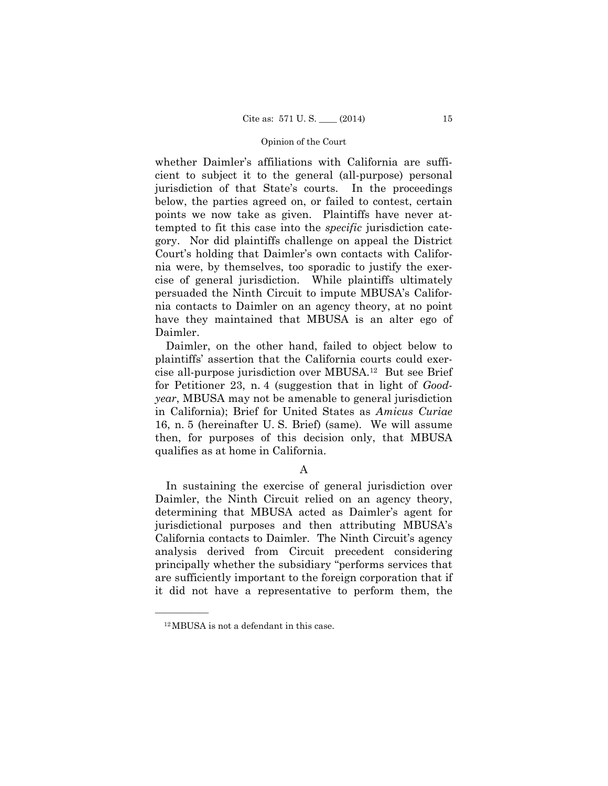whether Daimler's affiliations with California are sufficient to subject it to the general (all-purpose) personal jurisdiction of that State's courts. In the proceedings below, the parties agreed on, or failed to contest, certain points we now take as given. Plaintiffs have never attempted to fit this case into the *specific* jurisdiction category. Nor did plaintiffs challenge on appeal the District Court's holding that Daimler's own contacts with California were, by themselves, too sporadic to justify the exercise of general jurisdiction. While plaintiffs ultimately persuaded the Ninth Circuit to impute MBUSA's California contacts to Daimler on an agency theory, at no point have they maintained that MBUSA is an alter ego of Daimler.

Daimler, on the other hand, failed to object below to plaintiffs' assertion that the California courts could exercise all-purpose jurisdiction over MBUSA.12 But see Brief for Petitioner 23, n. 4 (suggestion that in light of *Goodyear*, MBUSA may not be amenable to general jurisdiction in California); Brief for United States as *Amicus Curiae*  16, n. 5 (hereinafter U. S. Brief) (same). We will assume then, for purposes of this decision only, that MBUSA qualifies as at home in California.

## A

In sustaining the exercise of general jurisdiction over Daimler, the Ninth Circuit relied on an agency theory, determining that MBUSA acted as Daimler's agent for jurisdictional purposes and then attributing MBUSA's California contacts to Daimler. The Ninth Circuit's agency analysis derived from Circuit precedent considering principally whether the subsidiary "performs services that are sufficiently important to the foreign corporation that if it did not have a representative to perform them, the

<sup>12</sup>MBUSA is not a defendant in this case.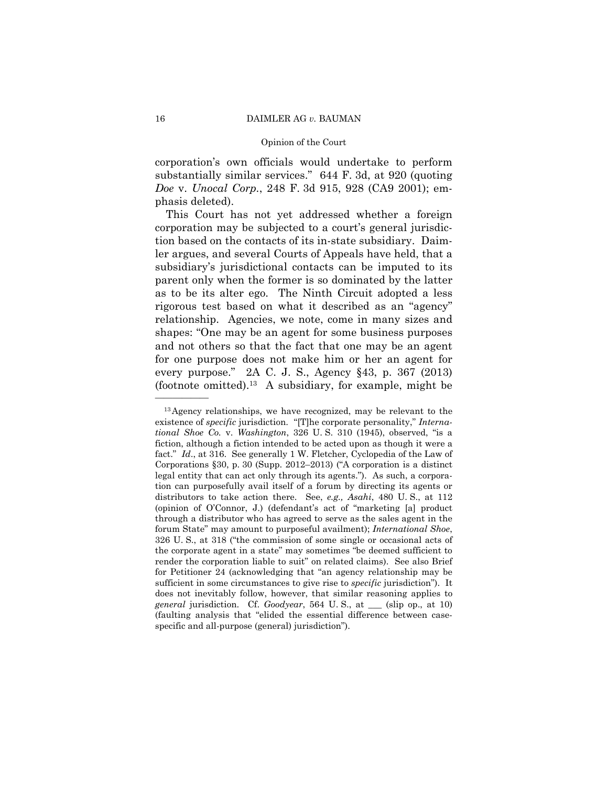corporation's own officials would undertake to perform substantially similar services." 644 F. 3d, at 920 (quoting *Doe* v. *Unocal Corp.*, 248 F. 3d 915, 928 (CA9 2001); emphasis deleted).

This Court has not yet addressed whether a foreign corporation may be subjected to a court's general jurisdiction based on the contacts of its in-state subsidiary. Daimler argues, and several Courts of Appeals have held, that a subsidiary's jurisdictional contacts can be imputed to its parent only when the former is so dominated by the latter as to be its alter ego. The Ninth Circuit adopted a less rigorous test based on what it described as an "agency" relationship. Agencies, we note, come in many sizes and shapes: "One may be an agent for some business purposes and not others so that the fact that one may be an agent for one purpose does not make him or her an agent for every purpose." 2A C. J. S., Agency §43, p. 367 (2013) (footnote omitted).13 A subsidiary, for example, might be

 fiction, although a fiction intended to be acted upon as though it were a 13Agency relationships, we have recognized, may be relevant to the existence of *specific* jurisdiction. "[T]he corporate personality," *International Shoe Co.* v. *Washington*, 326 U. S. 310 (1945), observed, "is a fact." *Id*., at 316. See generally 1 W. Fletcher, Cyclopedia of the Law of Corporations §30, p. 30 (Supp. 2012–2013) ("A corporation is a distinct legal entity that can act only through its agents."). As such, a corporation can purposefully avail itself of a forum by directing its agents or distributors to take action there. See, *e.g., Asahi*, 480 U. S., at 112 (opinion of O'Connor, J.) (defendant's act of "marketing [a] product through a distributor who has agreed to serve as the sales agent in the forum State" may amount to purposeful availment); *International Shoe*, 326 U. S., at 318 ("the commission of some single or occasional acts of the corporate agent in a state" may sometimes "be deemed sufficient to render the corporation liable to suit" on related claims). See also Brief for Petitioner 24 (acknowledging that "an agency relationship may be sufficient in some circumstances to give rise to *specific* jurisdiction"). It does not inevitably follow, however, that similar reasoning applies to *general* jurisdiction. Cf. *Goodyear*, 564 U. S., at \_\_\_ (slip op., at 10) (faulting analysis that "elided the essential difference between casespecific and all-purpose (general) jurisdiction").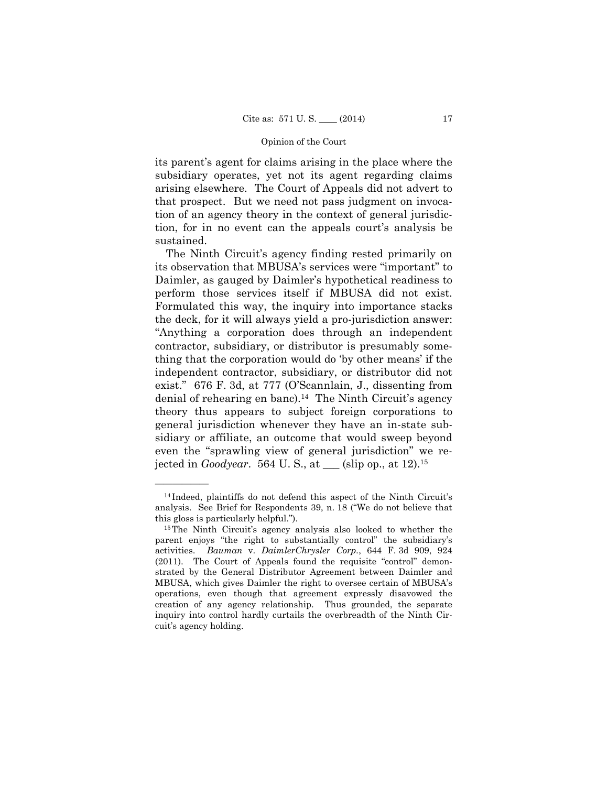its parent's agent for claims arising in the place where the subsidiary operates, yet not its agent regarding claims arising elsewhere. The Court of Appeals did not advert to that prospect. But we need not pass judgment on invocation of an agency theory in the context of general jurisdiction, for in no event can the appeals court's analysis be sustained.

 perform those services itself if MBUSA did not exist. The Ninth Circuit's agency finding rested primarily on its observation that MBUSA's services were "important" to Daimler, as gauged by Daimler's hypothetical readiness to Formulated this way, the inquiry into importance stacks the deck, for it will always yield a pro-jurisdiction answer: "Anything a corporation does through an independent contractor, subsidiary, or distributor is presumably something that the corporation would do 'by other means' if the independent contractor, subsidiary, or distributor did not exist." 676 F. 3d, at 777 (O'Scannlain, J., dissenting from denial of rehearing en banc).14 The Ninth Circuit's agency theory thus appears to subject foreign corporations to general jurisdiction whenever they have an in-state subsidiary or affiliate, an outcome that would sweep beyond even the "sprawling view of general jurisdiction" we rejected in *Goodyear*. 564 U. S., at \_\_\_ (slip op., at 12).15

<sup>14</sup> Indeed, plaintiffs do not defend this aspect of the Ninth Circuit's analysis. See Brief for Respondents 39, n. 18 ("We do not believe that this gloss is particularly helpful."). 15The Ninth Circuit's agency analysis also looked to whether the

parent enjoys "the right to substantially control" the subsidiary's activities. *Bauman* v. *DaimlerChrysler Corp.*, 644 F. 3d 909, 924 (2011). The Court of Appeals found the requisite "control" demonstrated by the General Distributor Agreement between Daimler and MBUSA, which gives Daimler the right to oversee certain of MBUSA's operations, even though that agreement expressly disavowed the creation of any agency relationship. Thus grounded, the separate inquiry into control hardly curtails the overbreadth of the Ninth Circuit's agency holding.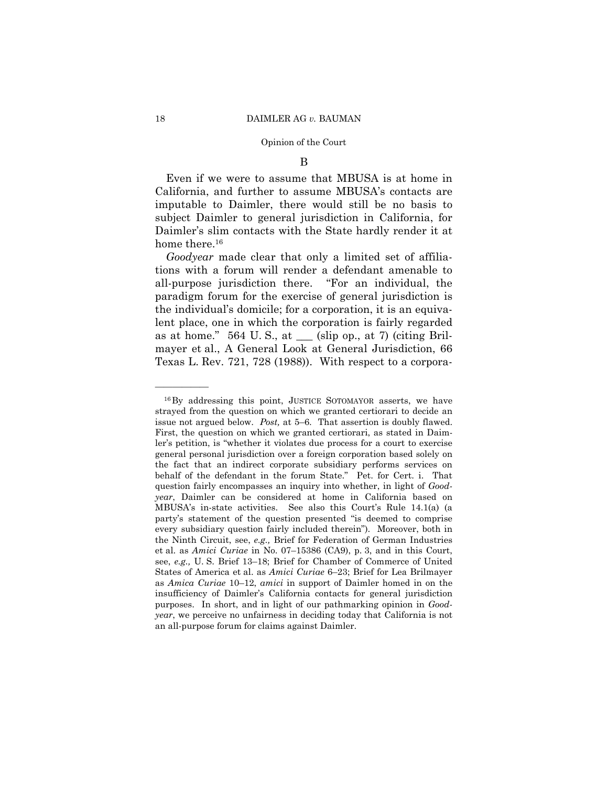B

Even if we were to assume that MBUSA is at home in California, and further to assume MBUSA's contacts are imputable to Daimler, there would still be no basis to subject Daimler to general jurisdiction in California, for Daimler's slim contacts with the State hardly render it at home there.<sup>16</sup>

*Goodyear* made clear that only a limited set of affiliations with a forum will render a defendant amenable to all-purpose jurisdiction there. "For an individual, the paradigm forum for the exercise of general jurisdiction is the individual's domicile; for a corporation, it is an equivalent place, one in which the corporation is fairly regarded as at home."  $564$  U.S., at  $\_\_$  (slip op., at 7) (citing Brilmayer et al., A General Look at General Jurisdiction, 66 Texas L. Rev. 721, 728 (1988)). With respect to a corpora-

<sup>16</sup>By addressing this point, JUSTICE SOTOMAYOR asserts, we have strayed from the question on which we granted certiorari to decide an issue not argued below. *Post,* at 5–6. That assertion is doubly flawed. First, the question on which we granted certiorari, as stated in Daimler's petition, is "whether it violates due process for a court to exercise general personal jurisdiction over a foreign corporation based solely on the fact that an indirect corporate subsidiary performs services on behalf of the defendant in the forum State." Pet. for Cert. i. That question fairly encompasses an inquiry into whether, in light of *Goodyear*, Daimler can be considered at home in California based on MBUSA's in-state activities. See also this Court's Rule 14.1(a) (a party's statement of the question presented "is deemed to comprise every subsidiary question fairly included therein"). Moreover, both in the Ninth Circuit, see, *e.g.,* Brief for Federation of German Industries et al. as *Amici Curiae* in No. 07–15386 (CA9), p. 3, and in this Court, see, *e.g.,* U. S. Brief 13–18; Brief for Chamber of Commerce of United States of America et al. as *Amici Curiae* 6–23; Brief for Lea Brilmayer as *Amica Curiae* 10–12, *amici* in support of Daimler homed in on the insufficiency of Daimler's California contacts for general jurisdiction purposes. In short, and in light of our pathmarking opinion in *Goodyear*, we perceive no unfairness in deciding today that California is not an all-purpose forum for claims against Daimler.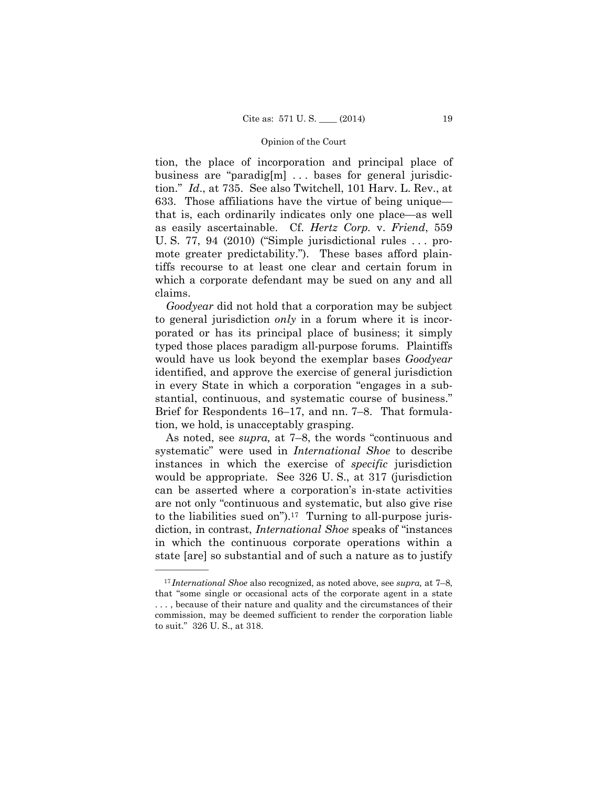tion, the place of incorporation and principal place of business are "paradig[m] ... bases for general jurisdiction." *Id*., at 735. See also Twitchell, 101 Harv. L. Rev., at 633. Those affiliations have the virtue of being unique that is, each ordinarily indicates only one place—as well as easily ascertainable. Cf. *Hertz Corp.* v. *Friend*, 559 U. S. 77, 94 (2010) ("Simple jurisdictional rules . . . promote greater predictability."). These bases afford plaintiffs recourse to at least one clear and certain forum in which a corporate defendant may be sued on any and all claims.

*Goodyear* did not hold that a corporation may be subject to general jurisdiction *only* in a forum where it is incorporated or has its principal place of business; it simply typed those places paradigm all-purpose forums. Plaintiffs would have us look beyond the exemplar bases *Goodyear* identified, and approve the exercise of general jurisdiction in every State in which a corporation "engages in a substantial, continuous, and systematic course of business." Brief for Respondents 16–17, and nn. 7–8. That formulation, we hold, is unacceptably grasping.

As noted, see *supra,* at 7–8, the words "continuous and systematic" were used in *International Shoe* to describe instances in which the exercise of *specific* jurisdiction would be appropriate. See 326 U. S., at 317 (jurisdiction can be asserted where a corporation's in-state activities are not only "continuous and systematic, but also give rise to the liabilities sued on").<sup>17</sup> Turning to all-purpose jurisdiction, in contrast, *International Shoe* speaks of "instances in which the continuous corporate operations within a state [are] so substantial and of such a nature as to justify

<sup>17</sup>*International Shoe* also recognized, as noted above, see *supra,* at 7–8, that "some single or occasional acts of the corporate agent in a state . . . , because of their nature and quality and the circumstances of their commission, may be deemed sufficient to render the corporation liable to suit." 326 U. S., at 318.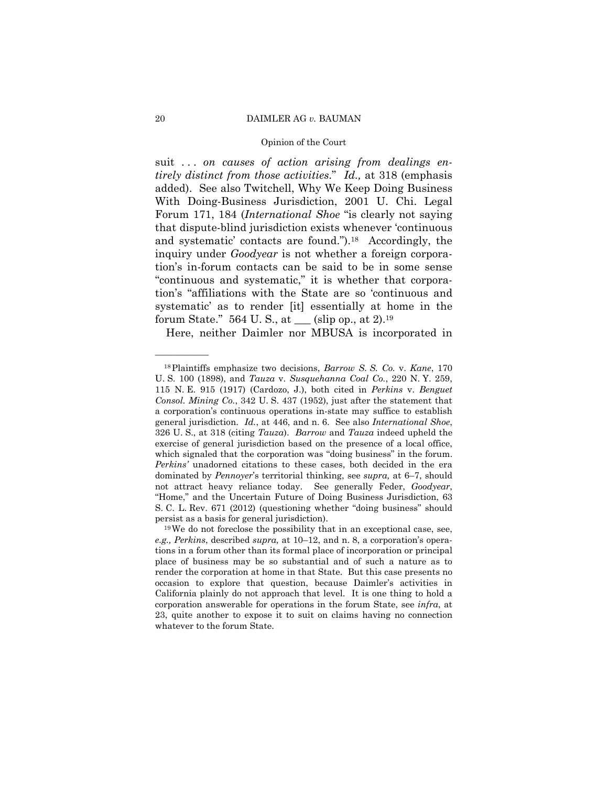#### 20 DAIMLER AG *v.* BAUMAN

#### Opinion of the Court

 *tirely distinct from those activities*." *Id.,* at 318 (emphasis suit . . . *on causes of action arising from dealings en*added). See also Twitchell, Why We Keep Doing Business With Doing-Business Jurisdiction, 2001 U. Chi. Legal Forum 171, 184 (*International Shoe* "is clearly not saying that dispute-blind jurisdiction exists whenever 'continuous and systematic' contacts are found.").18 Accordingly, the inquiry under *Goodyear* is not whether a foreign corporation's in-forum contacts can be said to be in some sense "continuous and systematic," it is whether that corporation's "affiliations with the State are so 'continuous and systematic' as to render [it] essentially at home in the forum State." 564 U. S., at \_\_\_ (slip op., at 2).19

Here, neither Daimler nor MBUSA is incorporated in

 115 N. E. 915 (1917) (Cardozo, J.), both cited in *Perkins* v. *Benguet*  18Plaintiffs emphasize two decisions, *Barrow S. S. Co.* v. *Kane*, 170 U. S. 100 (1898), and *Tauza* v. *Susquehanna Coal Co.*, 220 N. Y. 259, *Consol. Mining Co.*, 342 U. S. 437 (1952), just after the statement that a corporation's continuous operations in-state may suffice to establish general jurisdiction. *Id.*, at 446, and n. 6. See also *International Shoe*, 326 U. S., at 318 (citing *Tauza*). *Barrow* and *Tauza* indeed upheld the exercise of general jurisdiction based on the presence of a local office, which signaled that the corporation was "doing business" in the forum. *Perkins'* unadorned citations to these cases, both decided in the era dominated by *Pennoyer*'s territorial thinking, see *supra,* at 6–7, should not attract heavy reliance today. See generally Feder, *Goodyear*, "Home," and the Uncertain Future of Doing Business Jurisdiction, 63 S. C. L. Rev. 671 (2012) (questioning whether "doing business" should persist as a basis for general jurisdiction). 19We do not foreclose the possibility that in an exceptional case, see,

*e.g., Perkins*, described *supra,* at 10–12, and n. 8, a corporation's operations in a forum other than its formal place of incorporation or principal place of business may be so substantial and of such a nature as to render the corporation at home in that State. But this case presents no occasion to explore that question, because Daimler's activities in California plainly do not approach that level. It is one thing to hold a corporation answerable for operations in the forum State, see *infra*, at 23, quite another to expose it to suit on claims having no connection whatever to the forum State.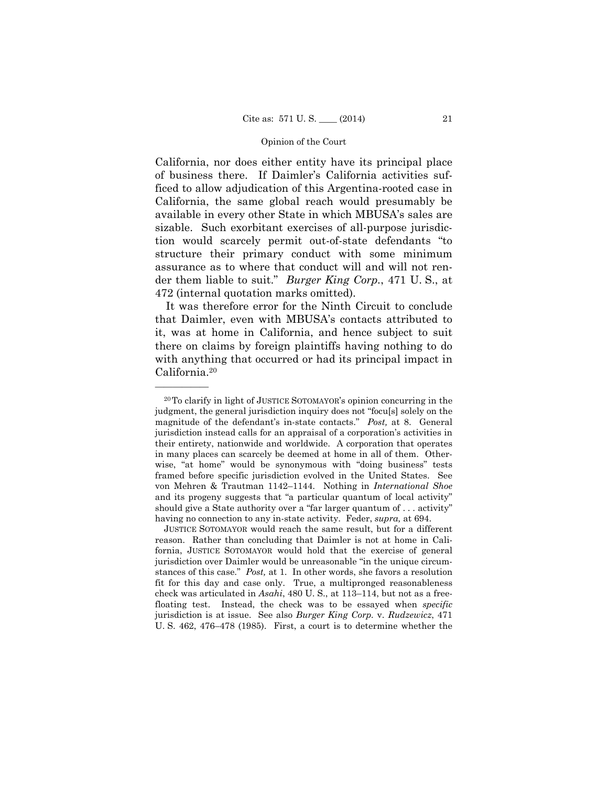California, nor does either entity have its principal place of business there. If Daimler's California activities sufficed to allow adjudication of this Argentina-rooted case in California, the same global reach would presumably be available in every other State in which MBUSA's sales are sizable. Such exorbitant exercises of all-purpose jurisdiction would scarcely permit out-of-state defendants "to structure their primary conduct with some minimum assurance as to where that conduct will and will not render them liable to suit." *Burger King Corp.*, 471 U. S., at 472 (internal quotation marks omitted).

It was therefore error for the Ninth Circuit to conclude that Daimler, even with MBUSA's contacts attributed to it, was at home in California, and hence subject to suit there on claims by foreign plaintiffs having nothing to do with anything that occurred or had its principal impact in California.20

<sup>20</sup>To clarify in light of JUSTICE SOTOMAYOR's opinion concurring in the judgment, the general jurisdiction inquiry does not "focu[s] solely on the magnitude of the defendant's in-state contacts." *Post,* at 8. General jurisdiction instead calls for an appraisal of a corporation's activities in their entirety, nationwide and worldwide. A corporation that operates in many places can scarcely be deemed at home in all of them. Otherwise, "at home" would be synonymous with "doing business" tests framed before specific jurisdiction evolved in the United States. See von Mehren & Trautman 1142–1144. Nothing in *International Shoe*  and its progeny suggests that "a particular quantum of local activity" should give a State authority over a "far larger quantum of . . . activity" having no connection to any in-state activity. Feder, *supra,* at 694.

 stances of this case." *Post,* at 1. In other words, she favors a resolution JUSTICE SOTOMAYOR would reach the same result, but for a different reason. Rather than concluding that Daimler is not at home in California, JUSTICE SOTOMAYOR would hold that the exercise of general jurisdiction over Daimler would be unreasonable "in the unique circumfit for this day and case only. True, a multipronged reasonableness check was articulated in *Asahi*, 480 U. S., at 113–114, but not as a freefloating test. Instead, the check was to be essayed when *specific*  jurisdiction is at issue. See also *Burger King Corp.* v. *Rudzewicz*, 471 U. S. 462, 476–478 (1985). First, a court is to determine whether the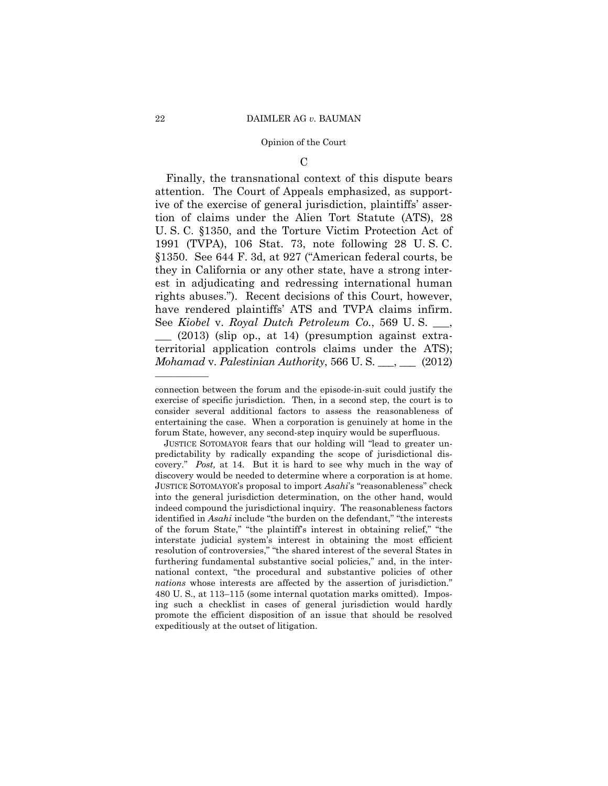C

Finally, the transnational context of this dispute bears attention. The Court of Appeals emphasized, as supportive of the exercise of general jurisdiction, plaintiffs' assertion of claims under the Alien Tort Statute (ATS), 28 U. S. C. §1350, and the Torture Victim Protection Act of 1991 (TVPA), 106 Stat. 73, note following 28 U. S. C. §1350. See 644 F. 3d, at 927 ("American federal courts, be they in California or any other state, have a strong interest in adjudicating and redressing international human rights abuses."). Recent decisions of this Court, however, have rendered plaintiffs' ATS and TVPA claims infirm. See *Kiobel* v. *Royal Dutch Petroleum Co.*, 569 U. S. \_\_\_, \_\_\_ (2013) (slip op., at 14) (presumption against extraterritorial application controls claims under the ATS); *Mohamad* v. *Palestinian Authority*, 566 U. S. \_\_\_, \_\_\_ (2012)

connection between the forum and the episode-in-suit could justify the exercise of specific jurisdiction. Then, in a second step, the court is to consider several additional factors to assess the reasonableness of entertaining the case. When a corporation is genuinely at home in the forum State, however, any second-step inquiry would be superfluous.

 covery." *Post,* at 14. But it is hard to see why much in the way of JUSTICE SOTOMAYOR fears that our holding will "lead to greater unpredictability by radically expanding the scope of jurisdictional disdiscovery would be needed to determine where a corporation is at home. JUSTICE SOTOMAYOR's proposal to import *Asahi*'s "reasonableness" check into the general jurisdiction determination, on the other hand, would indeed compound the jurisdictional inquiry. The reasonableness factors identified in *Asahi* include "the burden on the defendant," "the interests of the forum State," "the plaintiff's interest in obtaining relief," "the interstate judicial system's interest in obtaining the most efficient resolution of controversies," "the shared interest of the several States in furthering fundamental substantive social policies," and, in the international context, "the procedural and substantive policies of other *nations* whose interests are affected by the assertion of jurisdiction." 480 U. S., at 113–115 (some internal quotation marks omitted). Imposing such a checklist in cases of general jurisdiction would hardly promote the efficient disposition of an issue that should be resolved expeditiously at the outset of litigation.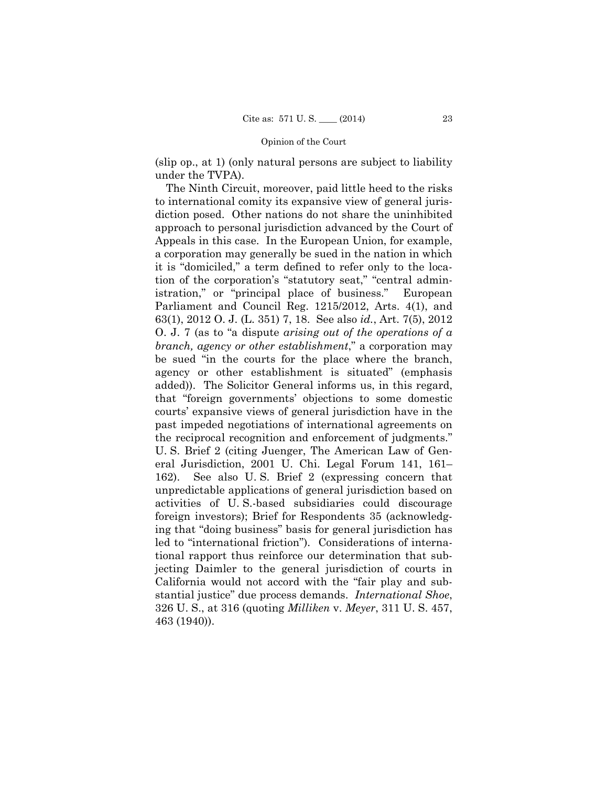(slip op., at 1) (only natural persons are subject to liability under the TVPA).

The Ninth Circuit, moreover, paid little heed to the risks to international comity its expansive view of general jurisdiction posed. Other nations do not share the uninhibited approach to personal jurisdiction advanced by the Court of Appeals in this case. In the European Union, for example, a corporation may generally be sued in the nation in which it is "domiciled," a term defined to refer only to the location of the corporation's "statutory seat," "central administration," or "principal place of business." European Parliament and Council Reg. 1215/2012, Arts. 4(1), and 63(1), 2012 O. J. (L. 351) 7, 18. See also *id.*, Art. 7(5), 2012 O. J. 7 (as to "a dispute *arising out of the operations of a branch, agency or other establishment*," a corporation may be sued "in the courts for the place where the branch, agency or other establishment is situated" (emphasis added)). The Solicitor General informs us, in this regard, that "foreign governments' objections to some domestic courts' expansive views of general jurisdiction have in the past impeded negotiations of international agreements on the reciprocal recognition and enforcement of judgments." U. S. Brief 2 (citing Juenger, The American Law of General Jurisdiction, 2001 U. Chi. Legal Forum 141, 161– 162). See also U. S. Brief 2 (expressing concern that unpredictable applications of general jurisdiction based on activities of U. S.-based subsidiaries could discourage foreign investors); Brief for Respondents 35 (acknowledging that "doing business" basis for general jurisdiction has led to "international friction"). Considerations of international rapport thus reinforce our determination that subjecting Daimler to the general jurisdiction of courts in California would not accord with the "fair play and substantial justice" due process demands. *International Shoe*, 326 U. S., at 316 (quoting *Milliken* v. *Meyer*, 311 U. S. 457, 463 (1940)).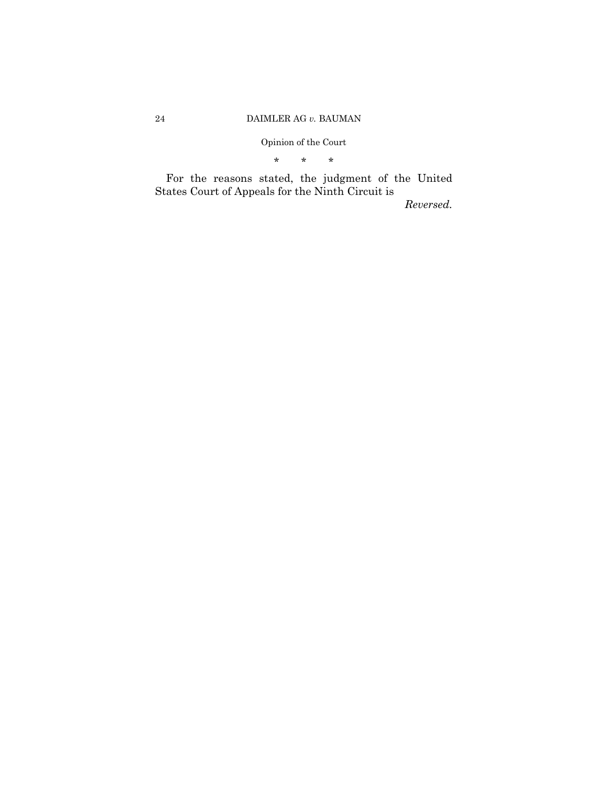\* \* \*

For the reasons stated, the judgment of the United States Court of Appeals for the Ninth Circuit is

*Reversed.*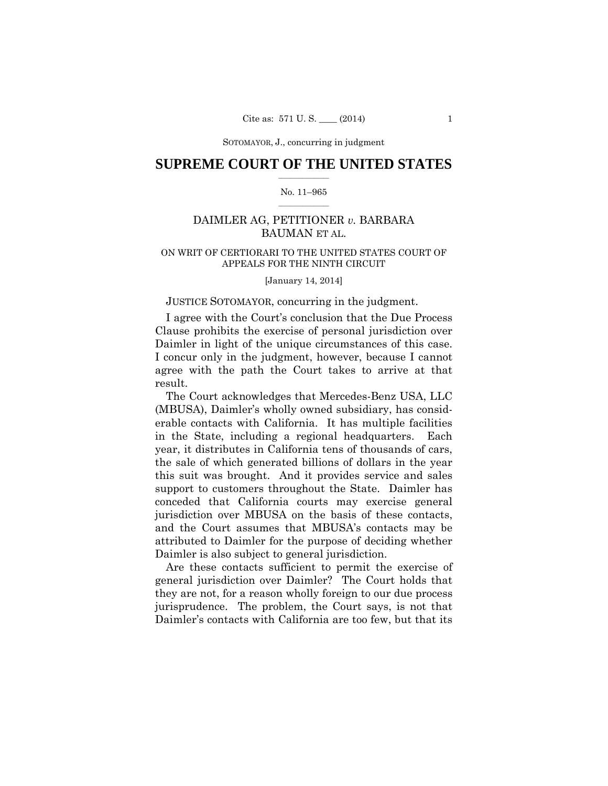## $\frac{1}{2}$  ,  $\frac{1}{2}$  ,  $\frac{1}{2}$  ,  $\frac{1}{2}$  ,  $\frac{1}{2}$  ,  $\frac{1}{2}$  ,  $\frac{1}{2}$ **SUPREME COURT OF THE UNITED STATES**

#### $\frac{1}{2}$  ,  $\frac{1}{2}$  ,  $\frac{1}{2}$  ,  $\frac{1}{2}$  ,  $\frac{1}{2}$  ,  $\frac{1}{2}$ No. 11–965

## DAIMLER AG, PETITIONER *v.* BARBARA BAUMAN ET AL.

## ON WRIT OF CERTIORARI TO THE UNITED STATES COURT OF APPEALS FOR THE NINTH CIRCUIT

[January 14, 2014]

## JUSTICE SOTOMAYOR, concurring in the judgment.

 Daimler in light of the unique circumstances of this case. I agree with the Court's conclusion that the Due Process Clause prohibits the exercise of personal jurisdiction over I concur only in the judgment, however, because I cannot agree with the path the Court takes to arrive at that result.

The Court acknowledges that Mercedes-Benz USA, LLC (MBUSA), Daimler's wholly owned subsidiary, has considerable contacts with California. It has multiple facilities in the State, including a regional headquarters. Each year, it distributes in California tens of thousands of cars, the sale of which generated billions of dollars in the year this suit was brought. And it provides service and sales support to customers throughout the State. Daimler has conceded that California courts may exercise general jurisdiction over MBUSA on the basis of these contacts, and the Court assumes that MBUSA's contacts may be attributed to Daimler for the purpose of deciding whether Daimler is also subject to general jurisdiction.

Are these contacts sufficient to permit the exercise of general jurisdiction over Daimler? The Court holds that they are not, for a reason wholly foreign to our due process jurisprudence. The problem, the Court says, is not that Daimler's contacts with California are too few, but that its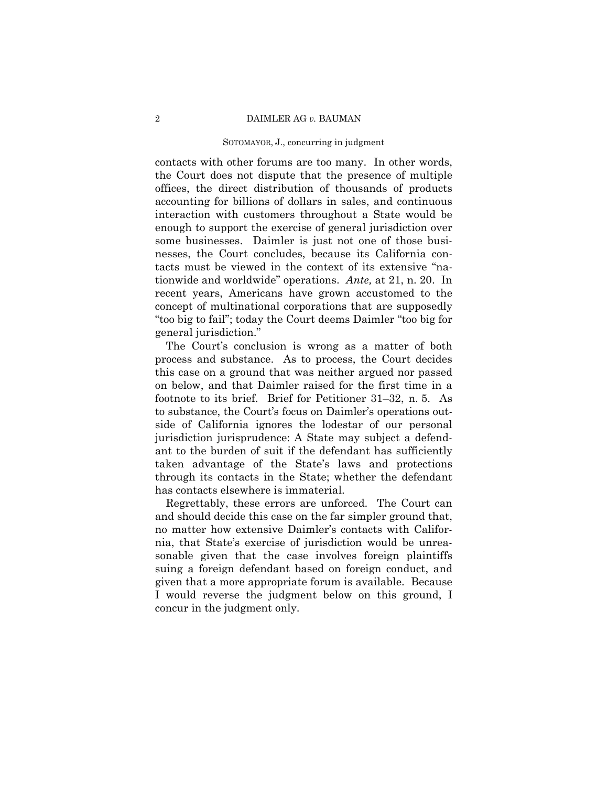contacts with other forums are too many. In other words, the Court does not dispute that the presence of multiple offices, the direct distribution of thousands of products accounting for billions of dollars in sales, and continuous interaction with customers throughout a State would be enough to support the exercise of general jurisdiction over some businesses. Daimler is just not one of those businesses, the Court concludes, because its California contacts must be viewed in the context of its extensive "nationwide and worldwide" operations. *Ante,* at 21, n. 20. In recent years, Americans have grown accustomed to the concept of multinational corporations that are supposedly "too big to fail"; today the Court deems Daimler "too big for general jurisdiction."

The Court's conclusion is wrong as a matter of both process and substance. As to process, the Court decides this case on a ground that was neither argued nor passed on below, and that Daimler raised for the first time in a footnote to its brief. Brief for Petitioner 31–32, n. 5. As to substance, the Court's focus on Daimler's operations outside of California ignores the lodestar of our personal jurisdiction jurisprudence: A State may subject a defendant to the burden of suit if the defendant has sufficiently taken advantage of the State's laws and protections through its contacts in the State; whether the defendant has contacts elsewhere is immaterial.

Regrettably, these errors are unforced. The Court can and should decide this case on the far simpler ground that, no matter how extensive Daimler's contacts with California, that State's exercise of jurisdiction would be unreasonable given that the case involves foreign plaintiffs suing a foreign defendant based on foreign conduct, and given that a more appropriate forum is available. Because I would reverse the judgment below on this ground, I concur in the judgment only.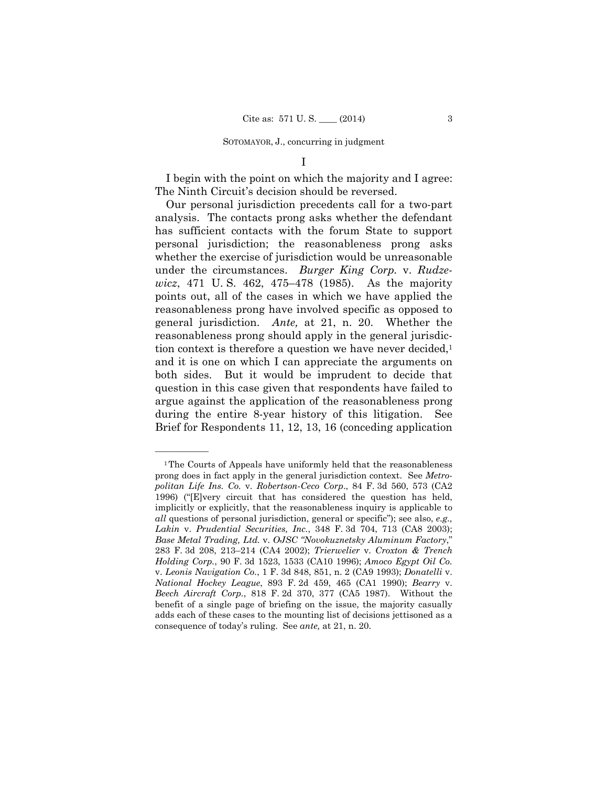#### I

I begin with the point on which the majority and I agree: The Ninth Circuit's decision should be reversed.

Our personal jurisdiction precedents call for a two-part analysis. The contacts prong asks whether the defendant has sufficient contacts with the forum State to support personal jurisdiction; the reasonableness prong asks whether the exercise of jurisdiction would be unreasonable under the circumstances. *Burger King Corp.* v. *Rudzewicz*, 471 U. S. 462, 475–478 (1985). As the majority points out, all of the cases in which we have applied the reasonableness prong have involved specific as opposed to general jurisdiction. *Ante,* at 21, n. 20. Whether the reasonableness prong should apply in the general jurisdiction context is therefore a question we have never decided,<sup>1</sup> and it is one on which I can appreciate the arguments on both sides. But it would be imprudent to decide that question in this case given that respondents have failed to argue against the application of the reasonableness prong during the entire 8-year history of this litigation. See Brief for Respondents 11, 12, 13, 16 (conceding application

<sup>1</sup>The Courts of Appeals have uniformly held that the reasonableness prong does in fact apply in the general jurisdiction context. See *Metropolitan Life Ins. Co.* v. *Robertson-Ceco Corp*., 84 F. 3d 560, 573 (CA2 1996) ("[E]very circuit that has considered the question has held, implicitly or explicitly, that the reasonableness inquiry is applicable to *all* questions of personal jurisdiction, general or specific"); see also, *e.g., Lakin* v. *Prudential Securities, Inc.*, 348 F. 3d 704, 713 (CA8 2003); *Base Metal Trading, Ltd.* v. *OJSC "Novokuznetsky Aluminum Factory*," 283 F. 3d 208, 213–214 (CA4 2002); *Trierwelier* v. *Croxton & Trench Holding Corp.*, 90 F. 3d 1523, 1533 (CA10 1996); *Amoco Egypt Oil Co.*  v. *Leonis Navigation Co.*, 1 F. 3d 848, 851, n. 2 (CA9 1993); *Donatelli* v. *National Hockey League*, 893 F. 2d 459, 465 (CA1 1990); *Bearry* v. *Beech Aircraft Corp.*, 818 F. 2d 370, 377 (CA5 1987). Without the benefit of a single page of briefing on the issue, the majority casually adds each of these cases to the mounting list of decisions jettisoned as a consequence of today's ruling. See *ante,* at 21, n. 20.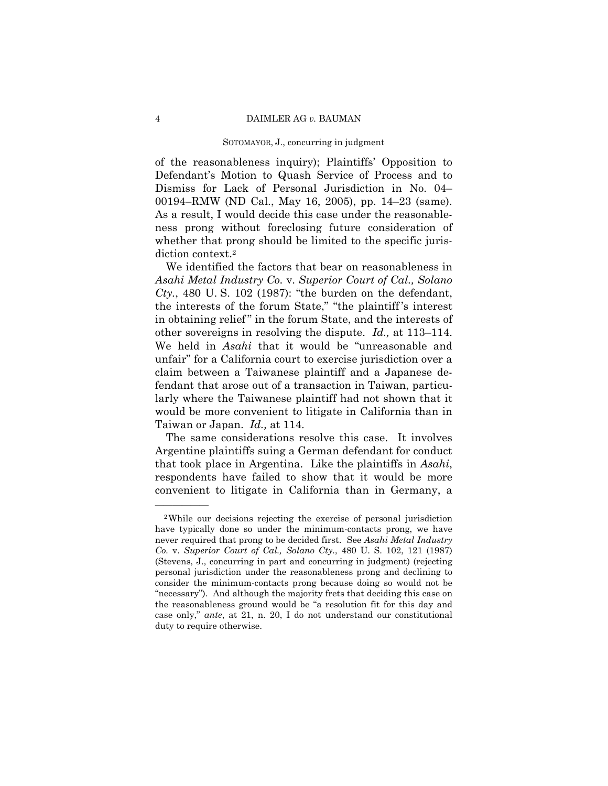of the reasonableness inquiry); Plaintiffs' Opposition to Defendant's Motion to Quash Service of Process and to Dismiss for Lack of Personal Jurisdiction in No. 04– 00194–RMW (ND Cal., May 16, 2005), pp. 14–23 (same). As a result, I would decide this case under the reasonableness prong without foreclosing future consideration of whether that prong should be limited to the specific jurisdiction context.2

We identified the factors that bear on reasonableness in *Asahi Metal Industry Co.* v. *Superior Court of Cal., Solano Cty.*, 480 U. S. 102 (1987): "the burden on the defendant, the interests of the forum State," "the plaintiff 's interest in obtaining relief" in the forum State, and the interests of other sovereigns in resolving the dispute. *Id.,* at 113–114. We held in *Asahi* that it would be "unreasonable and unfair" for a California court to exercise jurisdiction over a claim between a Taiwanese plaintiff and a Japanese defendant that arose out of a transaction in Taiwan, particularly where the Taiwanese plaintiff had not shown that it would be more convenient to litigate in California than in Taiwan or Japan. *Id.,* at 114.

The same considerations resolve this case. It involves Argentine plaintiffs suing a German defendant for conduct that took place in Argentina. Like the plaintiffs in *Asahi*, respondents have failed to show that it would be more convenient to litigate in California than in Germany, a

<sup>2</sup>While our decisions rejecting the exercise of personal jurisdiction have typically done so under the minimum-contacts prong, we have never required that prong to be decided first. See *Asahi Metal Industry Co.* v. *Superior Court of Cal., Solano Cty.*, 480 U. S. 102, 121 (1987) (Stevens, J., concurring in part and concurring in judgment) (rejecting personal jurisdiction under the reasonableness prong and declining to consider the minimum-contacts prong because doing so would not be "necessary"). And although the majority frets that deciding this case on the reasonableness ground would be "a resolution fit for this day and case only," *ante*, at 21, n. 20, I do not understand our constitutional duty to require otherwise.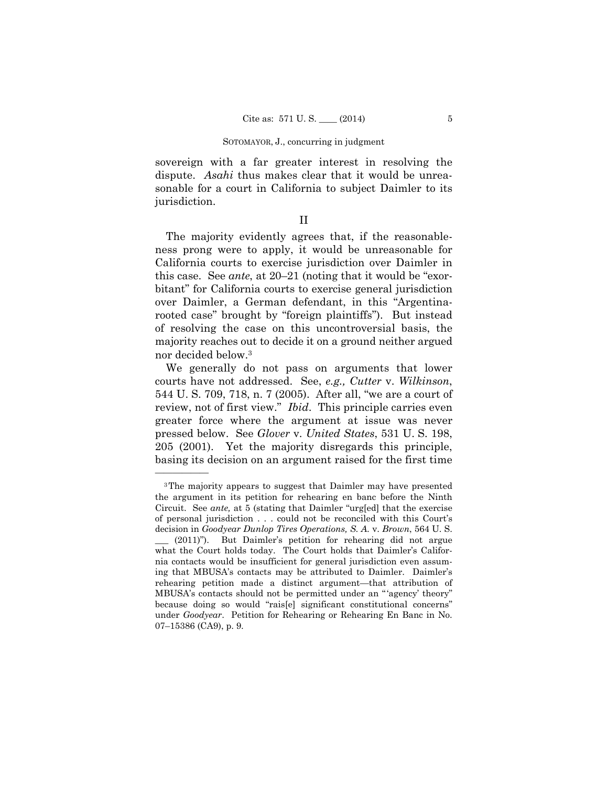sovereign with a far greater interest in resolving the dispute. *Asahi* thus makes clear that it would be unreasonable for a court in California to subject Daimler to its jurisdiction.

### II

 this case. See *ante*, at 20–21 (noting that it would be "exorrooted case" brought by "foreign plaintiffs"). But instead nor decided below.3 The majority evidently agrees that, if the reasonableness prong were to apply, it would be unreasonable for California courts to exercise jurisdiction over Daimler in bitant" for California courts to exercise general jurisdiction over Daimler, a German defendant, in this "Argentinaof resolving the case on this uncontroversial basis, the majority reaches out to decide it on a ground neither argued

We generally do not pass on arguments that lower courts have not addressed. See, *e.g., Cutter* v. *Wilkinson*, 544 U. S. 709, 718, n. 7 (2005). After all, "we are a court of review, not of first view." *Ibid*. This principle carries even greater force where the argument at issue was never pressed below. See *Glover* v. *United States*, 531 U. S. 198, 205 (2001). Yet the majority disregards this principle, basing its decision on an argument raised for the first time

 ing that MBUSA's contacts may be attributed to Daimler. Daimler's 3The majority appears to suggest that Daimler may have presented the argument in its petition for rehearing en banc before the Ninth Circuit. See *ante,* at 5 (stating that Daimler "urg[ed] that the exercise of personal jurisdiction . . . could not be reconciled with this Court's decision in *Goodyear Dunlop Tires Operations, S. A.* v. *Brown*, 564 U. S. \_\_\_ (2011)"). But Daimler's petition for rehearing did not argue what the Court holds today. The Court holds that Daimler's California contacts would be insufficient for general jurisdiction even assumrehearing petition made a distinct argument—that attribution of MBUSA's contacts should not be permitted under an " 'agency' theory" because doing so would "rais[e] significant constitutional concerns" under *Goodyear*. Petition for Rehearing or Rehearing En Banc in No. 07–15386 (CA9), p. 9.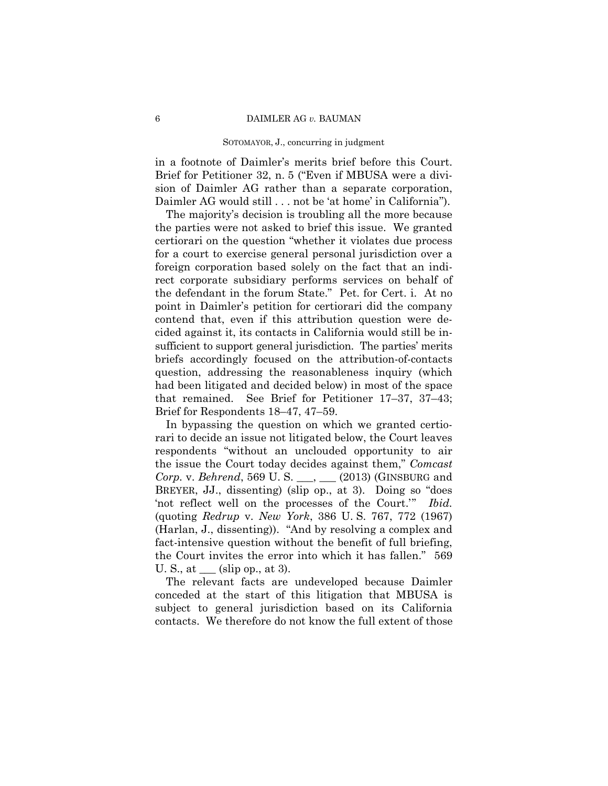in a footnote of Daimler's merits brief before this Court. Brief for Petitioner 32, n. 5 ("Even if MBUSA were a division of Daimler AG rather than a separate corporation, Daimler AG would still . . . not be 'at home' in California").

The majority's decision is troubling all the more because the parties were not asked to brief this issue. We granted certiorari on the question "whether it violates due process for a court to exercise general personal jurisdiction over a foreign corporation based solely on the fact that an indirect corporate subsidiary performs services on behalf of the defendant in the forum State." Pet. for Cert. i. At no point in Daimler's petition for certiorari did the company contend that, even if this attribution question were decided against it, its contacts in California would still be insufficient to support general jurisdiction. The parties' merits briefs accordingly focused on the attribution-of-contacts question, addressing the reasonableness inquiry (which had been litigated and decided below) in most of the space that remained. See Brief for Petitioner 17–37, 37–43; Brief for Respondents 18–47, 47–59.

In bypassing the question on which we granted certiorari to decide an issue not litigated below, the Court leaves respondents "without an unclouded opportunity to air the issue the Court today decides against them," *Comcast Corp.* v. *Behrend*, 569 U. S. \_\_\_, \_\_\_ (2013) (GINSBURG and BREYER, JJ., dissenting) (slip op., at 3). Doing so "does 'not reflect well on the processes of the Court.'" *Ibid.*  (quoting *Redrup* v. *New York*, 386 U. S. 767, 772 (1967) (Harlan, J., dissenting)). "And by resolving a complex and fact-intensive question without the benefit of full briefing, the Court invites the error into which it has fallen." 569 U. S., at  $\_\_\$  (slip op., at 3).

The relevant facts are undeveloped because Daimler conceded at the start of this litigation that MBUSA is subject to general jurisdiction based on its California contacts. We therefore do not know the full extent of those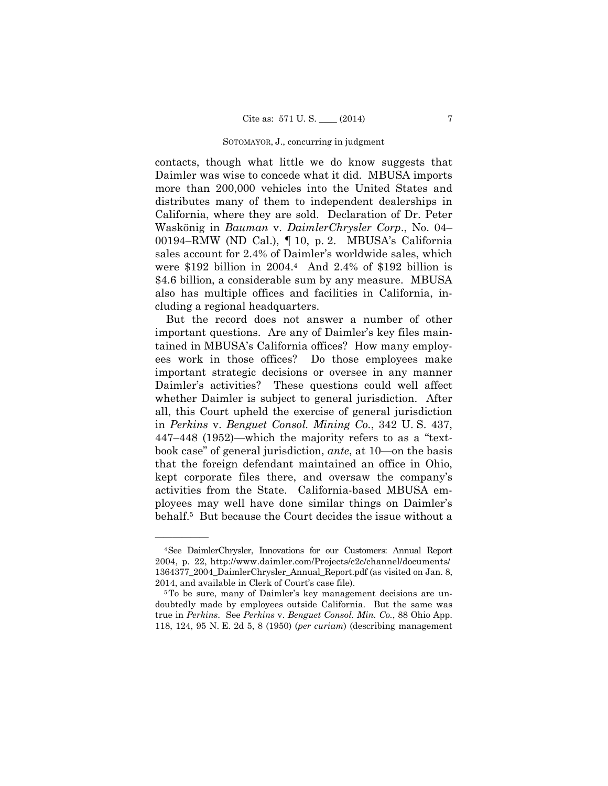contacts, though what little we do know suggests that Daimler was wise to concede what it did. MBUSA imports more than 200,000 vehicles into the United States and distributes many of them to independent dealerships in California, where they are sold. Declaration of Dr. Peter Waskönig in *Bauman* v. *DaimlerChrysler Corp*., No. 04– 00194–RMW (ND Cal.), ¶ 10, p. 2. MBUSA's California sales account for 2.4% of Daimler's worldwide sales, which were \$192 billion in  $2004<sup>4</sup>$  And  $2.4%$  of \$192 billion is \$4.6 billion, a considerable sum by any measure. MBUSA also has multiple offices and facilities in California, including a regional headquarters.

But the record does not answer a number of other important questions. Are any of Daimler's key files maintained in MBUSA's California offices? How many employees work in those offices? Do those employees make important strategic decisions or oversee in any manner Daimler's activities? These questions could well affect whether Daimler is subject to general jurisdiction. After all, this Court upheld the exercise of general jurisdiction in *Perkins* v. *Benguet Consol. Mining Co.*, 342 U. S. 437, 447–448 (1952)—which the majority refers to as a "textbook case" of general jurisdiction, *ante*, at 10—on the basis that the foreign defendant maintained an office in Ohio, kept corporate files there, and oversaw the company's activities from the State. California-based MBUSA employees may well have done similar things on Daimler's behalf.5 But because the Court decides the issue without a

<sup>4</sup>See DaimlerChrysler, Innovations for our Customers: Annual Report 2004, p. 22, http://www.daimler.com/Projects/c2c/channel/documents/ 1364377\_2004\_DaimlerChrysler\_Annual\_Report.pdf (as visited on Jan. 8, 2014, and available in Clerk of Court's case file). 5To be sure, many of Daimler's key management decisions are un-

doubtedly made by employees outside California. But the same was true in *Perkins*. See *Perkins* v. *Benguet Consol. Min. Co.*, 88 Ohio App. 118, 124, 95 N. E. 2d 5, 8 (1950) (*per curiam*) (describing management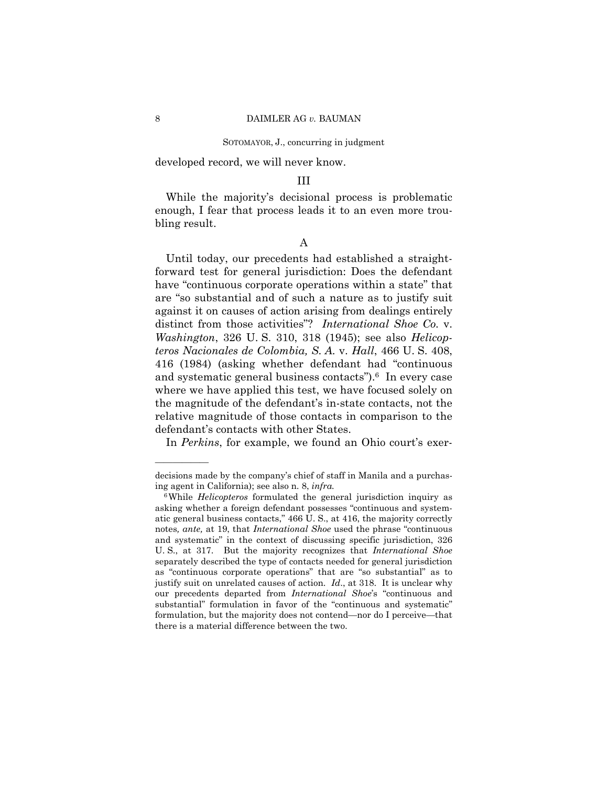developed record, we will never know.

## III

While the majority's decisional process is problematic enough, I fear that process leads it to an even more troubling result.

Until today, our precedents had established a straightforward test for general jurisdiction: Does the defendant have "continuous corporate operations within a state" that are "so substantial and of such a nature as to justify suit against it on causes of action arising from dealings entirely distinct from those activities"? *International Shoe Co.* v. *Washington*, 326 U. S. 310, 318 (1945); see also *Helicopteros Nacionales de Colombia, S. A.* v. *Hall*, 466 U. S. 408, 416 (1984) (asking whether defendant had "continuous and systematic general business contacts").<sup>6</sup> In every case where we have applied this test, we have focused solely on the magnitude of the defendant's in-state contacts, not the relative magnitude of those contacts in comparison to the defendant's contacts with other States.

In *Perkins*, for example, we found an Ohio court's exer

decisions made by the company's chief of staff in Manila and a purchasing agent in California); see also n. 8, *infra.* 

<sup>6</sup>While *Helicopteros* formulated the general jurisdiction inquiry as asking whether a foreign defendant possesses "continuous and systematic general business contacts," 466 U. S., at 416, the majority correctly notes*, ante,* at 19, that *International Shoe* used the phrase "continuous and systematic" in the context of discussing specific jurisdiction, 326 U. S., at 317. But the majority recognizes that *International Shoe*  separately described the type of contacts needed for general jurisdiction as "continuous corporate operations" that are "so substantial" as to justify suit on unrelated causes of action. *Id*., at 318. It is unclear why our precedents departed from *International Shoe*'s "continuous and substantial" formulation in favor of the "continuous and systematic" formulation, but the majority does not contend—nor do I perceive—that there is a material difference between the two.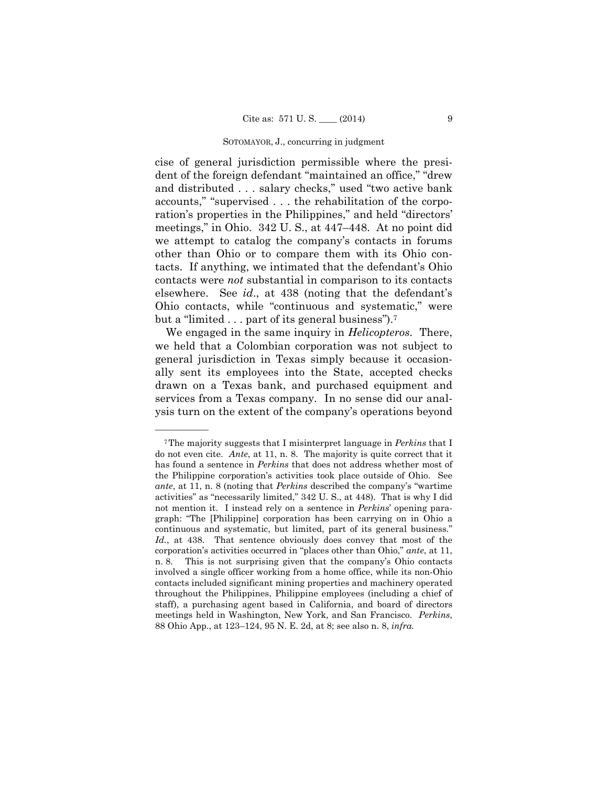cise of general jurisdiction permissible where the president of the foreign defendant "maintained an office," "drew and distributed . . . salary checks," used "two active bank accounts," "supervised . . . the rehabilitation of the corporation's properties in the Philippines," and held "directors' meetings," in Ohio. 342 U. S., at 447–448. At no point did we attempt to catalog the company's contacts in forums other than Ohio or to compare them with its Ohio contacts. If anything, we intimated that the defendant's Ohio contacts were *not* substantial in comparison to its contacts elsewhere. See *id*., at 438 (noting that the defendant's Ohio contacts, while "continuous and systematic," were but a "limited . . . part of its general business").7

We engaged in the same inquiry in *Helicopteros*. There, we held that a Colombian corporation was not subject to general jurisdiction in Texas simply because it occasionally sent its employees into the State, accepted checks drawn on a Texas bank, and purchased equipment and services from a Texas company. In no sense did our analysis turn on the extent of the company's operations beyond

 corporation's activities occurred in "places other than Ohio," *ante*, at 11, 7The majority suggests that I misinterpret language in *Perkins* that I do not even cite. *Ante*, at 11, n. 8. The majority is quite correct that it has found a sentence in *Perkins* that does not address whether most of the Philippine corporation's activities took place outside of Ohio. See *ante*, at 11, n. 8 (noting that *Perkins* described the company's "wartime activities" as "necessarily limited," 342 U. S., at 448). That is why I did not mention it. I instead rely on a sentence in *Perkins*' opening paragraph: "The [Philippine] corporation has been carrying on in Ohio a continuous and systematic, but limited, part of its general business." *Id.*, at 438. That sentence obviously does convey that most of the n. 8. This is not surprising given that the company's Ohio contacts involved a single officer working from a home office, while its non-Ohio contacts included significant mining properties and machinery operated throughout the Philippines, Philippine employees (including a chief of staff), a purchasing agent based in California, and board of directors meetings held in Washington, New York, and San Francisco. *Perkins*, 88 Ohio App., at 123–124, 95 N. E. 2d, at 8; see also n. 8, *infra.*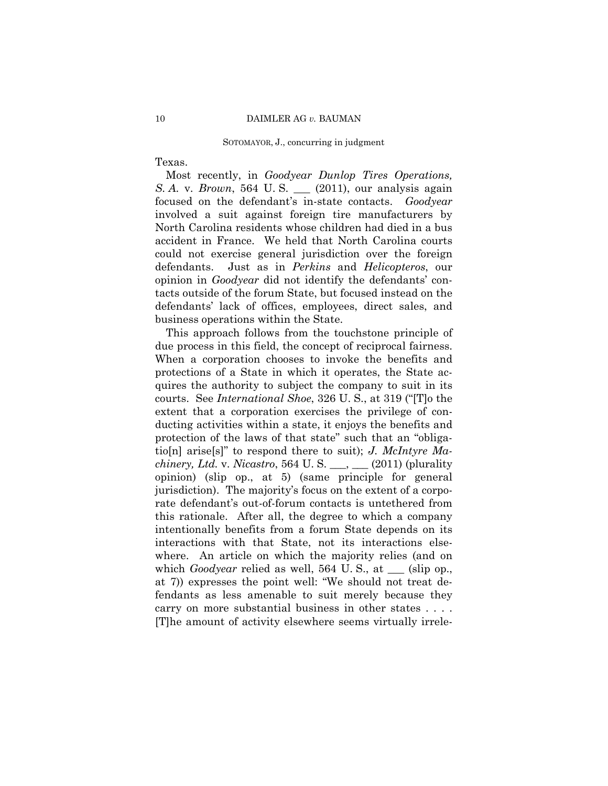Texas.

Most recently, in *Goodyear Dunlop Tires Operations, S. A. v. Brown*, 564 U. S. \_\_\_ (2011), our analysis again focused on the defendant's in-state contacts. *Goodyear* involved a suit against foreign tire manufacturers by North Carolina residents whose children had died in a bus accident in France. We held that North Carolina courts could not exercise general jurisdiction over the foreign defendants. Just as in *Perkins* and *Helicopteros*, our opinion in *Goodyear* did not identify the defendants' contacts outside of the forum State, but focused instead on the defendants' lack of offices, employees, direct sales, and business operations within the State.

This approach follows from the touchstone principle of due process in this field, the concept of reciprocal fairness. When a corporation chooses to invoke the benefits and protections of a State in which it operates, the State acquires the authority to subject the company to suit in its courts. See *International Shoe*, 326 U. S., at 319 ("[T]o the extent that a corporation exercises the privilege of conducting activities within a state, it enjoys the benefits and protection of the laws of that state" such that an "obligatio[n] arise[s]" to respond there to suit); *J. McIntyre Machinery, Ltd.* v. *Nicastro*, 564 U. S. \_\_\_, \_\_\_ (2011) (plurality opinion) (slip op., at 5) (same principle for general jurisdiction). The majority's focus on the extent of a corporate defendant's out-of-forum contacts is untethered from this rationale. After all, the degree to which a company intentionally benefits from a forum State depends on its interactions with that State, not its interactions elsewhere. An article on which the majority relies (and on which *Goodyear* relied as well, 564 U.S., at <u>section</u> (slip op., at 7)) expresses the point well: "We should not treat defendants as less amenable to suit merely because they carry on more substantial business in other states . . . . [T]he amount of activity elsewhere seems virtually irrele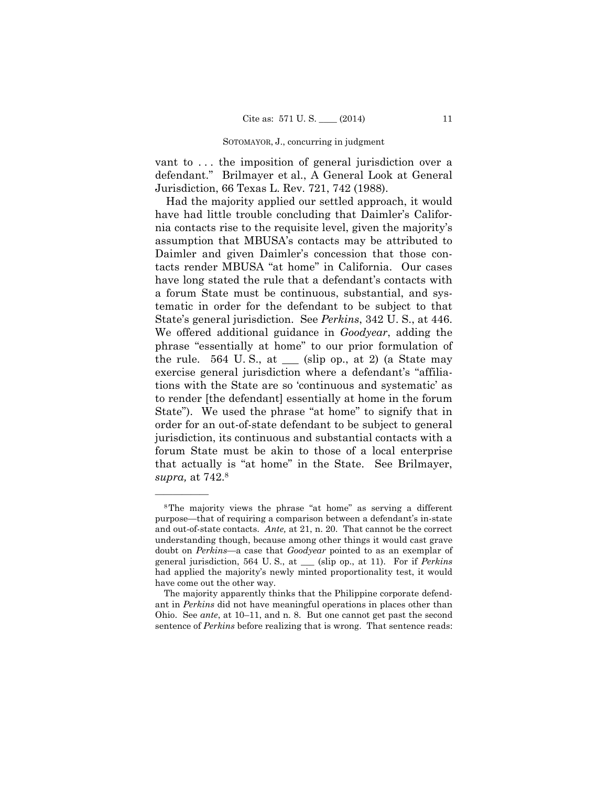defendant." Brilmayer et al., A General Look at General vant to . . . the imposition of general jurisdiction over a Jurisdiction, 66 Texas L. Rev. 721, 742 (1988).

Had the majority applied our settled approach, it would have had little trouble concluding that Daimler's California contacts rise to the requisite level, given the majority's assumption that MBUSA's contacts may be attributed to Daimler and given Daimler's concession that those contacts render MBUSA "at home" in California. Our cases have long stated the rule that a defendant's contacts with a forum State must be continuous, substantial, and systematic in order for the defendant to be subject to that State's general jurisdiction. See *Perkins*, 342 U. S., at 446. We offered additional guidance in *Goodyear*, adding the phrase "essentially at home" to our prior formulation of the rule. 564 U.S., at  $\_\_$  (slip op., at 2) (a State may exercise general jurisdiction where a defendant's "affiliations with the State are so 'continuous and systematic' as to render [the defendant] essentially at home in the forum State"). We used the phrase "at home" to signify that in order for an out-of-state defendant to be subject to general jurisdiction, its continuous and substantial contacts with a forum State must be akin to those of a local enterprise that actually is "at home" in the State. See Brilmayer, *supra,* at 742.8

<sup>8</sup>The majority views the phrase "at home" as serving a different purpose—that of requiring a comparison between a defendant's in-state and out-of-state contacts. *Ante,* at 21, n. 20. That cannot be the correct understanding though, because among other things it would cast grave doubt on *Perkins*—a case that *Goodyear* pointed to as an exemplar of general jurisdiction, 564 U. S., at \_\_\_ (slip op., at 11). For if *Perkins*  had applied the majority's newly minted proportionality test, it would have come out the other way.

The majority apparently thinks that the Philippine corporate defendant in *Perkins* did not have meaningful operations in places other than Ohio. See *ante*, at 10–11, and n. 8. But one cannot get past the second sentence of *Perkins* before realizing that is wrong. That sentence reads: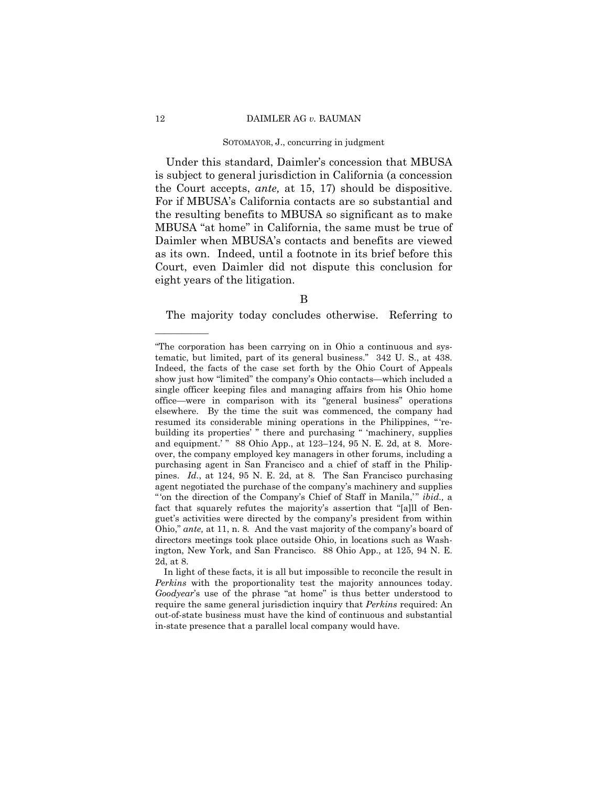Under this standard, Daimler's concession that MBUSA is subject to general jurisdiction in California (a concession the Court accepts, *ante,* at 15, 17) should be dispositive. For if MBUSA's California contacts are so substantial and the resulting benefits to MBUSA so significant as to make MBUSA "at home" in California, the same must be true of Daimler when MBUSA's contacts and benefits are viewed as its own. Indeed, until a footnote in its brief before this Court, even Daimler did not dispute this conclusion for eight years of the litigation.

B

The majority today concludes otherwise. Referring to

<sup>&</sup>quot;The corporation has been carrying on in Ohio a continuous and systematic, but limited, part of its general business." 342 U. S., at 438. Indeed, the facts of the case set forth by the Ohio Court of Appeals show just how "limited" the company's Ohio contacts—which included a single officer keeping files and managing affairs from his Ohio home office—were in comparison with its "general business" operations elsewhere. By the time the suit was commenced, the company had resumed its considerable mining operations in the Philippines, " 'rebuilding its properties' " there and purchasing " 'machinery, supplies and equipment.' " 88 Ohio App., at 123–124, 95 N. E. 2d, at 8. Moreover, the company employed key managers in other forums, including a purchasing agent in San Francisco and a chief of staff in the Philippines. *Id.*, at 124, 95 N. E. 2d, at 8. The San Francisco purchasing agent negotiated the purchase of the company's machinery and supplies " 'on the direction of the Company's Chief of Staff in Manila," *ibid.*, a fact that squarely refutes the majority's assertion that "[a]ll of Benguet's activities were directed by the company's president from within Ohio," *ante,* at 11, n. 8*.* And the vast majority of the company's board of directors meetings took place outside Ohio, in locations such as Washington, New York, and San Francisco. 88 Ohio App., at 125, 94 N. E. 2d, at 8.

In light of these facts, it is all but impossible to reconcile the result in *Perkins* with the proportionality test the majority announces today. *Goodyear*'s use of the phrase "at home" is thus better understood to require the same general jurisdiction inquiry that *Perkins* required: An out-of-state business must have the kind of continuous and substantial in-state presence that a parallel local company would have.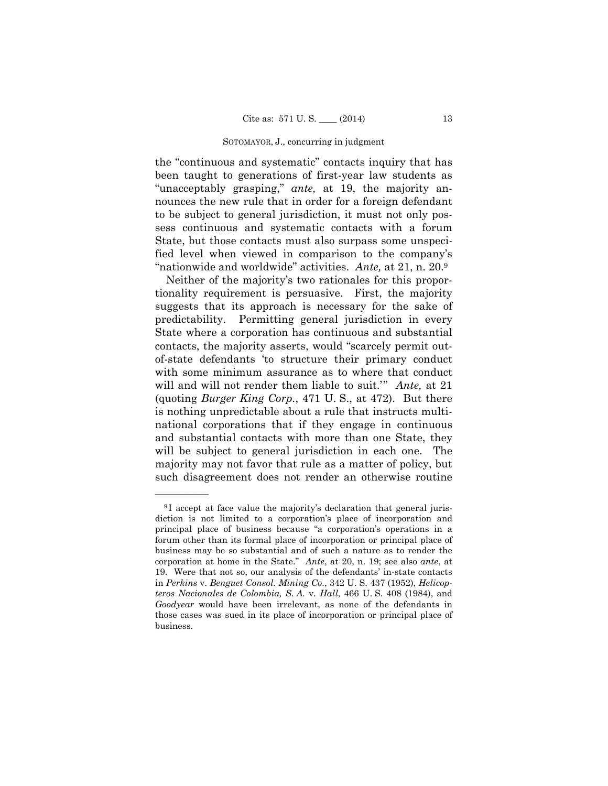the "continuous and systematic" contacts inquiry that has been taught to generations of first-year law students as "unacceptably grasping," *ante,* at 19, the majority announces the new rule that in order for a foreign defendant to be subject to general jurisdiction, it must not only possess continuous and systematic contacts with a forum State, but those contacts must also surpass some unspecified level when viewed in comparison to the company's "nationwide and worldwide" activities. *Ante,* at 21, n. 20.9

Neither of the majority's two rationales for this proportionality requirement is persuasive. First, the majority suggests that its approach is necessary for the sake of predictability. Permitting general jurisdiction in every State where a corporation has continuous and substantial contacts, the majority asserts, would "scarcely permit outof-state defendants 'to structure their primary conduct with some minimum assurance as to where that conduct will and will not render them liable to suit.'" *Ante,* at 21 (quoting *Burger King Corp.*, 471 U. S., at 472). But there is nothing unpredictable about a rule that instructs multinational corporations that if they engage in continuous and substantial contacts with more than one State, they will be subject to general jurisdiction in each one. The majority may not favor that rule as a matter of policy, but such disagreement does not render an otherwise routine

<sup>&</sup>lt;sup>9</sup>I accept at face value the majority's declaration that general jurisdiction is not limited to a corporation's place of incorporation and principal place of business because "a corporation's operations in a forum other than its formal place of incorporation or principal place of business may be so substantial and of such a nature as to render the corporation at home in the State." *Ante*, at 20, n. 19; see also *ante*, at 19. Were that not so, our analysis of the defendants' in-state contacts in *Perkins* v. *Benguet Consol. Mining Co.*, 342 U. S. 437 (1952), *Helicopteros Nacionales de Colombia, S. A.* v. *Hall*, 466 U. S. 408 (1984), and *Goodyear* would have been irrelevant, as none of the defendants in those cases was sued in its place of incorporation or principal place of business.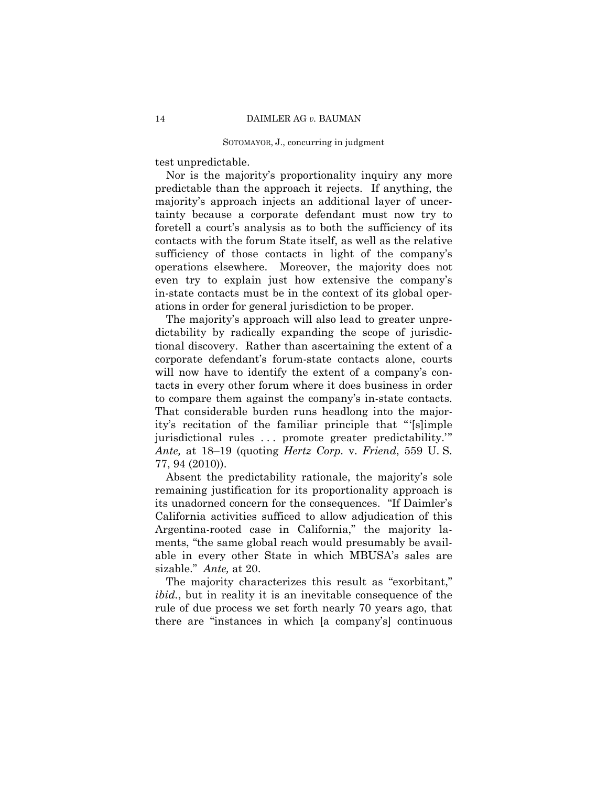test unpredictable.

Nor is the majority's proportionality inquiry any more predictable than the approach it rejects. If anything, the majority's approach injects an additional layer of uncertainty because a corporate defendant must now try to foretell a court's analysis as to both the sufficiency of its contacts with the forum State itself, as well as the relative sufficiency of those contacts in light of the company's operations elsewhere. Moreover, the majority does not even try to explain just how extensive the company's in-state contacts must be in the context of its global operations in order for general jurisdiction to be proper.

The majority's approach will also lead to greater unpredictability by radically expanding the scope of jurisdictional discovery. Rather than ascertaining the extent of a corporate defendant's forum-state contacts alone, courts will now have to identify the extent of a company's contacts in every other forum where it does business in order to compare them against the company's in-state contacts. That considerable burden runs headlong into the majority's recitation of the familiar principle that "'[s]imple jurisdictional rules . . . promote greater predictability.'" *Ante,* at 18–19 (quoting *Hertz Corp.* v. *Friend*, 559 U. S. 77, 94 (2010)).

Absent the predictability rationale, the majority's sole remaining justification for its proportionality approach is its unadorned concern for the consequences. "If Daimler's California activities sufficed to allow adjudication of this Argentina-rooted case in California," the majority laments, "the same global reach would presumably be available in every other State in which MBUSA's sales are sizable." *Ante,* at 20.

The majority characterizes this result as "exorbitant," *ibid.*, but in reality it is an inevitable consequence of the rule of due process we set forth nearly 70 years ago, that there are "instances in which [a company's] continuous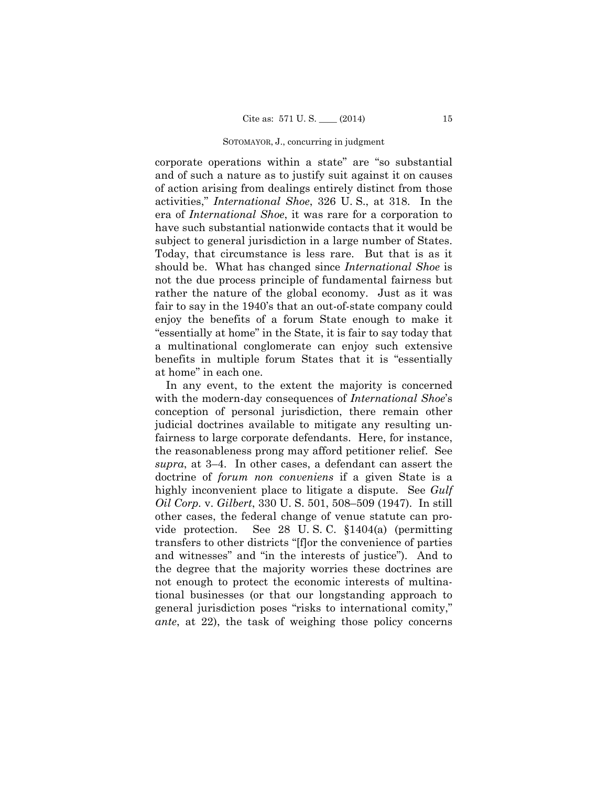corporate operations within a state" are "so substantial and of such a nature as to justify suit against it on causes of action arising from dealings entirely distinct from those activities," *International Shoe*, 326 U. S., at 318. In the era of *International Shoe*, it was rare for a corporation to have such substantial nationwide contacts that it would be subject to general jurisdiction in a large number of States. Today, that circumstance is less rare. But that is as it should be. What has changed since *International Shoe* is not the due process principle of fundamental fairness but rather the nature of the global economy. Just as it was fair to say in the 1940's that an out-of-state company could enjoy the benefits of a forum State enough to make it "essentially at home" in the State, it is fair to say today that a multinational conglomerate can enjoy such extensive benefits in multiple forum States that it is "essentially at home" in each one.

In any event, to the extent the majority is concerned with the modern-day consequences of *International Shoe*'s conception of personal jurisdiction, there remain other judicial doctrines available to mitigate any resulting unfairness to large corporate defendants. Here, for instance, the reasonableness prong may afford petitioner relief. See *supra*, at 3–4. In other cases, a defendant can assert the doctrine of *forum non conveniens* if a given State is a highly inconvenient place to litigate a dispute. See *Gulf Oil Corp.* v. *Gilbert*, 330 U. S. 501, 508–509 (1947). In still other cases, the federal change of venue statute can provide protection. See 28 U. S. C. §1404(a) (permitting transfers to other districts "[f]or the convenience of parties and witnesses" and "in the interests of justice"). And to the degree that the majority worries these doctrines are not enough to protect the economic interests of multinational businesses (or that our longstanding approach to general jurisdiction poses "risks to international comity," *ante*, at 22), the task of weighing those policy concerns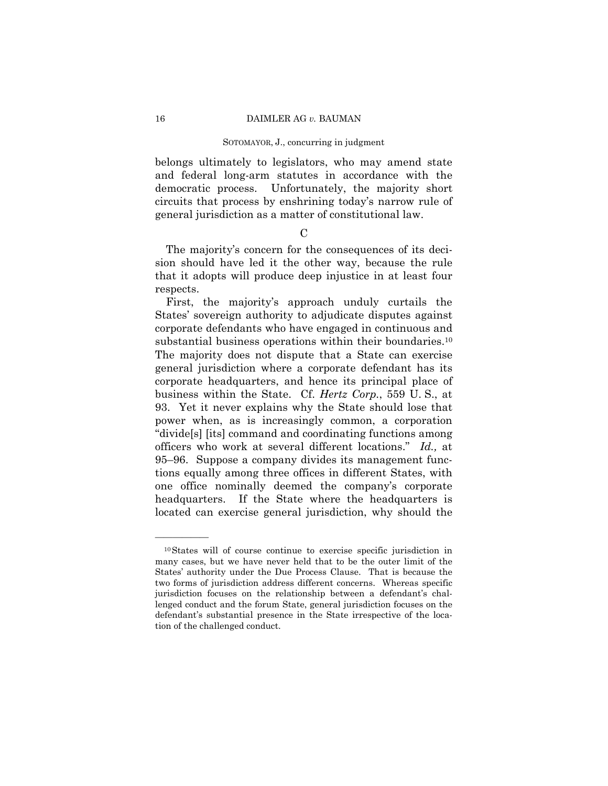belongs ultimately to legislators, who may amend state and federal long-arm statutes in accordance with the democratic process. Unfortunately, the majority short circuits that process by enshrining today's narrow rule of general jurisdiction as a matter of constitutional law.

 $\mathcal{C}$ 

The majority's concern for the consequences of its decision should have led it the other way, because the rule that it adopts will produce deep injustice in at least four respects.

substantial business operations within their boundaries.<sup>10</sup> First, the majority's approach unduly curtails the States' sovereign authority to adjudicate disputes against corporate defendants who have engaged in continuous and The majority does not dispute that a State can exercise general jurisdiction where a corporate defendant has its corporate headquarters, and hence its principal place of business within the State. Cf. *Hertz Corp.*, 559 U. S., at 93. Yet it never explains why the State should lose that power when, as is increasingly common, a corporation "divide[s] [its] command and coordinating functions among officers who work at several different locations." *Id.,* at 95–96. Suppose a company divides its management functions equally among three offices in different States, with one office nominally deemed the company's corporate headquarters. If the State where the headquarters is located can exercise general jurisdiction, why should the

<sup>10</sup>States will of course continue to exercise specific jurisdiction in many cases, but we have never held that to be the outer limit of the States' authority under the Due Process Clause. That is because the two forms of jurisdiction address different concerns. Whereas specific jurisdiction focuses on the relationship between a defendant's challenged conduct and the forum State, general jurisdiction focuses on the defendant's substantial presence in the State irrespective of the location of the challenged conduct.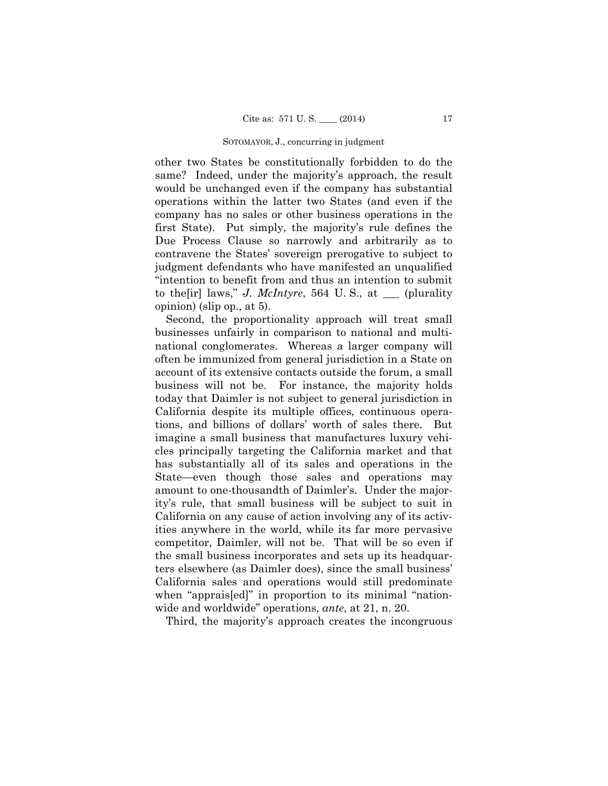other two States be constitutionally forbidden to do the same? Indeed, under the majority's approach, the result would be unchanged even if the company has substantial operations within the latter two States (and even if the company has no sales or other business operations in the first State). Put simply, the majority's rule defines the Due Process Clause so narrowly and arbitrarily as to contravene the States' sovereign prerogative to subject to judgment defendants who have manifested an unqualified "intention to benefit from and thus an intention to submit to the[ir] laws," *J. McIntyre*, 564 U. S., at \_\_\_ (plurality opinion) (slip op., at 5).

Second, the proportionality approach will treat small businesses unfairly in comparison to national and multinational conglomerates. Whereas a larger company will often be immunized from general jurisdiction in a State on account of its extensive contacts outside the forum, a small business will not be. For instance, the majority holds today that Daimler is not subject to general jurisdiction in California despite its multiple offices, continuous operations, and billions of dollars' worth of sales there. But imagine a small business that manufactures luxury vehicles principally targeting the California market and that has substantially all of its sales and operations in the State—even though those sales and operations may amount to one-thousandth of Daimler's. Under the majority's rule, that small business will be subject to suit in California on any cause of action involving any of its activities anywhere in the world, while its far more pervasive competitor, Daimler, will not be. That will be so even if the small business incorporates and sets up its headquarters elsewhere (as Daimler does), since the small business' California sales and operations would still predominate when "apprais[ed]" in proportion to its minimal "nationwide and worldwide" operations, *ante*, at 21, n. 20.

Third, the majority's approach creates the incongruous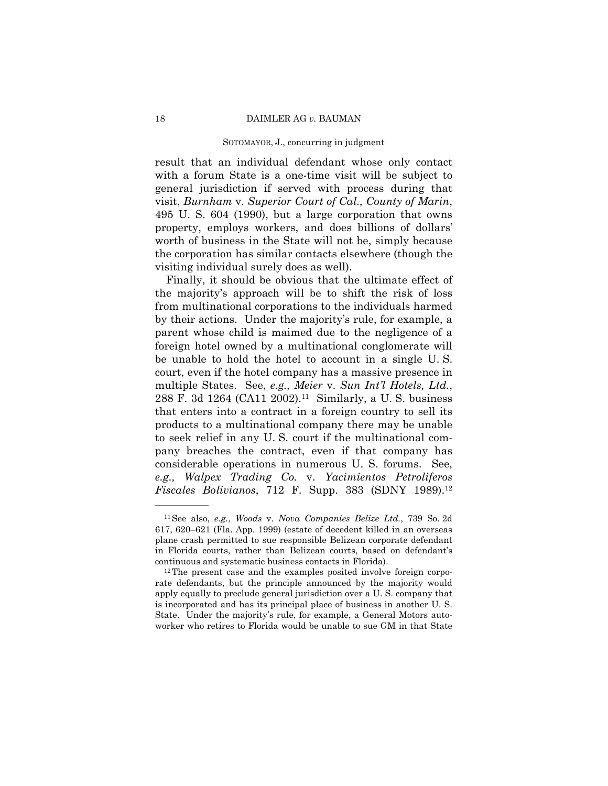result that an individual defendant whose only contact with a forum State is a one-time visit will be subject to general jurisdiction if served with process during that visit, *Burnham* v. *Superior Court of Cal., County of Marin*, 495 U. S. 604 (1990), but a large corporation that owns property, employs workers, and does billions of dollars' worth of business in the State will not be, simply because the corporation has similar contacts elsewhere (though the visiting individual surely does as well).

 *Fiscales Bolivianos*, 712 F. Supp. 383 (SDNY 1989).12 Finally, it should be obvious that the ultimate effect of the majority's approach will be to shift the risk of loss from multinational corporations to the individuals harmed by their actions. Under the majority's rule, for example, a parent whose child is maimed due to the negligence of a foreign hotel owned by a multinational conglomerate will be unable to hold the hotel to account in a single U. S. court, even if the hotel company has a massive presence in multiple States. See, *e.g., Meier* v. *Sun Int'l Hotels, Ltd.*, 288 F. 3d 1264 (CA11 2002).11 Similarly, a U. S. business that enters into a contract in a foreign country to sell its products to a multinational company there may be unable to seek relief in any U. S. court if the multinational company breaches the contract, even if that company has considerable operations in numerous U. S. forums. See, *e.g., Walpex Trading Co.* v. *Yacimientos Petroliferos* 

 11See also, *e.g.*, *Woods* v. *Nova Companies Belize Ltd.*, 739 So. 2d 617, 620–621 (Fla. App. 1999) (estate of decedent killed in an overseas plane crash permitted to sue responsible Belizean corporate defendant in Florida courts, rather than Belizean courts, based on defendant's continuous and systematic business contacts in Florida). 12The present case and the examples posited involve foreign corpo-

rate defendants, but the principle announced by the majority would apply equally to preclude general jurisdiction over a U. S. company that is incorporated and has its principal place of business in another U. S. State. Under the majority's rule, for example, a General Motors autoworker who retires to Florida would be unable to sue GM in that State